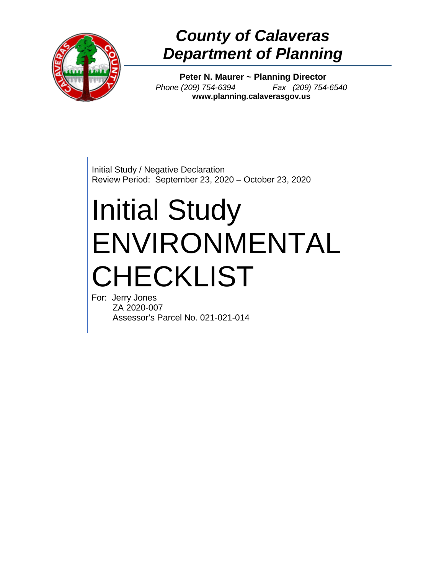

## *County of Calaveras Department of Planning*

**Peter N. Maurer ~ Planning Director** *Phone (209) 754-6394 Fax (209) 754-6540* **www.planning.calaverasgov.us**

Initial Study / Negative Declaration Review Period: September 23, 2020 – October 23, 2020

# Initial Study ENVIRONMENTAL CHECKLIST

For: Jerry Jones ZA 2020-007 Assessor's Parcel No. 021-021-014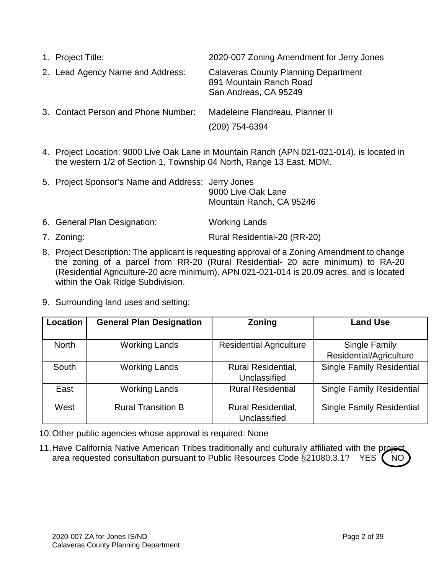| 1. Project Title:                   | 2020-007 Zoning Amendment for Jerry Jones                                                       |
|-------------------------------------|-------------------------------------------------------------------------------------------------|
| 2. Lead Agency Name and Address:    | <b>Calaveras County Planning Department</b><br>891 Mountain Ranch Road<br>San Andreas, CA 95249 |
| 3. Contact Person and Phone Number: | Madeleine Flandreau, Planner II<br>(209) 754-6394                                               |

4. Project Location: 9000 Live Oak Lane in Mountain Ranch (APN 021-021-014), is located in the western 1/2 of Section 1, Township 04 North, Range 13 East, MDM.

| 5. Project Sponsor's Name and Address: Jerry Jones | 9000 Live Oak Lane<br>Mountain Ranch, CA 95246 |  |
|----------------------------------------------------|------------------------------------------------|--|
| 6. General Plan Designation:                       | <b>Working Lands</b>                           |  |

- 7. Zoning: The Rural Residential-20 (RR-20)
- 8. Project Description: The applicant is requesting approval of a Zoning Amendment to change the zoning of a parcel from RR-20 (Rural Residential- 20 acre minimum) to RA-20 (Residential Agriculture-20 acre minimum). APN 021-021-014 is 20.09 acres, and is located within the Oak Ridge Subdivision.
- 9. Surrounding land uses and setting:

| <b>Location</b> | <b>General Plan Designation</b> | Zoning                                    | <b>Land Use</b>                          |
|-----------------|---------------------------------|-------------------------------------------|------------------------------------------|
| <b>North</b>    | <b>Working Lands</b>            | <b>Residential Agriculture</b>            | Single Family<br>Residential/Agriculture |
| South           | <b>Working Lands</b>            | <b>Rural Residential,</b><br>Unclassified | <b>Single Family Residential</b>         |
| East            | <b>Working Lands</b>            | <b>Rural Residential</b>                  | <b>Single Family Residential</b>         |
| West            | <b>Rural Transition B</b>       | <b>Rural Residential,</b><br>Unclassified | <b>Single Family Residential</b>         |

- 10.Other public agencies whose approval is required: None
- 11. Have California Native American Tribes traditionally and culturally affiliated with the project area requested consultation pursuant to Public Resources Code §21080.3.1? YES ( NC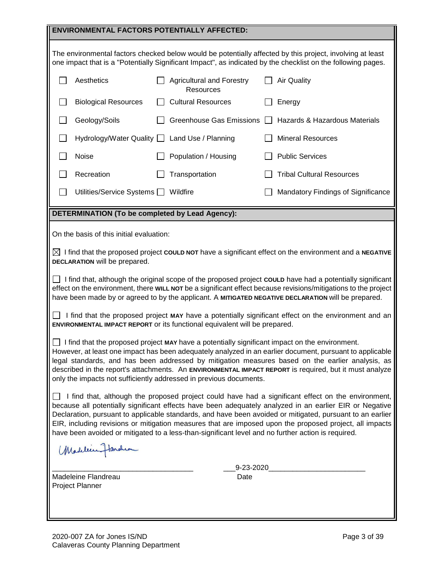|                                                                                                                                                                                                                                                                                                                                                                                                                                                                                                                                             | <b>ENVIRONMENTAL FACTORS POTENTIALLY AFFECTED:</b>          |  |                                                                            |  |                                                                                                                                                                                                                                                                                                                                             |
|---------------------------------------------------------------------------------------------------------------------------------------------------------------------------------------------------------------------------------------------------------------------------------------------------------------------------------------------------------------------------------------------------------------------------------------------------------------------------------------------------------------------------------------------|-------------------------------------------------------------|--|----------------------------------------------------------------------------|--|---------------------------------------------------------------------------------------------------------------------------------------------------------------------------------------------------------------------------------------------------------------------------------------------------------------------------------------------|
|                                                                                                                                                                                                                                                                                                                                                                                                                                                                                                                                             |                                                             |  |                                                                            |  | The environmental factors checked below would be potentially affected by this project, involving at least<br>one impact that is a "Potentially Significant Impact", as indicated by the checklist on the following pages.                                                                                                                   |
|                                                                                                                                                                                                                                                                                                                                                                                                                                                                                                                                             | Aesthetics                                                  |  | <b>Agricultural and Forestry</b><br><b>Resources</b>                       |  | <b>Air Quality</b>                                                                                                                                                                                                                                                                                                                          |
|                                                                                                                                                                                                                                                                                                                                                                                                                                                                                                                                             | <b>Biological Resources</b>                                 |  | <b>Cultural Resources</b>                                                  |  | Energy                                                                                                                                                                                                                                                                                                                                      |
|                                                                                                                                                                                                                                                                                                                                                                                                                                                                                                                                             | Geology/Soils                                               |  | <b>Greenhouse Gas Emissions</b>                                            |  | Hazards & Hazardous Materials                                                                                                                                                                                                                                                                                                               |
|                                                                                                                                                                                                                                                                                                                                                                                                                                                                                                                                             | Hydrology/Water Quality   Land Use / Planning               |  |                                                                            |  | <b>Mineral Resources</b>                                                                                                                                                                                                                                                                                                                    |
|                                                                                                                                                                                                                                                                                                                                                                                                                                                                                                                                             | Noise                                                       |  | Population / Housing                                                       |  | <b>Public Services</b>                                                                                                                                                                                                                                                                                                                      |
|                                                                                                                                                                                                                                                                                                                                                                                                                                                                                                                                             | Recreation                                                  |  | Transportation                                                             |  | <b>Tribal Cultural Resources</b>                                                                                                                                                                                                                                                                                                            |
|                                                                                                                                                                                                                                                                                                                                                                                                                                                                                                                                             | Utilities/Service Systems $\Box$                            |  | Wildfire                                                                   |  | Mandatory Findings of Significance                                                                                                                                                                                                                                                                                                          |
|                                                                                                                                                                                                                                                                                                                                                                                                                                                                                                                                             | DETERMINATION (To be completed by Lead Agency):             |  |                                                                            |  |                                                                                                                                                                                                                                                                                                                                             |
|                                                                                                                                                                                                                                                                                                                                                                                                                                                                                                                                             | On the basis of this initial evaluation:                    |  |                                                                            |  |                                                                                                                                                                                                                                                                                                                                             |
|                                                                                                                                                                                                                                                                                                                                                                                                                                                                                                                                             | DECLARATION will be prepared.                               |  |                                                                            |  | $\boxtimes$ I find that the proposed project <b>COULD NOT</b> have a significant effect on the environment and a NEGATIVE                                                                                                                                                                                                                   |
|                                                                                                                                                                                                                                                                                                                                                                                                                                                                                                                                             |                                                             |  |                                                                            |  | □ I find that, although the original scope of the proposed project <b>couLD</b> have had a potentially significant<br>effect on the environment, there WILL NOT be a significant effect because revisions/mitigations to the project<br>have been made by or agreed to by the applicant. A MITIGATED NEGATIVE DECLARATION will be prepared. |
|                                                                                                                                                                                                                                                                                                                                                                                                                                                                                                                                             |                                                             |  | ENVIRONMENTAL IMPACT REPORT or its functional equivalent will be prepared. |  | I find that the proposed project MAY have a potentially significant effect on the environment and an                                                                                                                                                                                                                                        |
| I find that the proposed project MAY have a potentially significant impact on the environment.<br>However, at least one impact has been adequately analyzed in an earlier document, pursuant to applicable<br>legal standards, and has been addressed by mitigation measures based on the earlier analysis, as<br>described in the report's attachments. An ENVIRONMENTAL IMPACT REPORT is required, but it must analyze<br>only the impacts not sufficiently addressed in previous documents.                                              |                                                             |  |                                                                            |  |                                                                                                                                                                                                                                                                                                                                             |
| I find that, although the proposed project could have had a significant effect on the environment,<br>because all potentially significant effects have been adequately analyzed in an earlier EIR or Negative<br>Declaration, pursuant to applicable standards, and have been avoided or mitigated, pursuant to an earlier<br>EIR, including revisions or mitigation measures that are imposed upon the proposed project, all impacts<br>have been avoided or mitigated to a less-than-significant level and no further action is required. |                                                             |  |                                                                            |  |                                                                                                                                                                                                                                                                                                                                             |
| Madelin Flanchea                                                                                                                                                                                                                                                                                                                                                                                                                                                                                                                            |                                                             |  |                                                                            |  |                                                                                                                                                                                                                                                                                                                                             |
|                                                                                                                                                                                                                                                                                                                                                                                                                                                                                                                                             | 9-23-2020<br>Madeleine Flandreau<br>Date<br>Project Planner |  |                                                                            |  |                                                                                                                                                                                                                                                                                                                                             |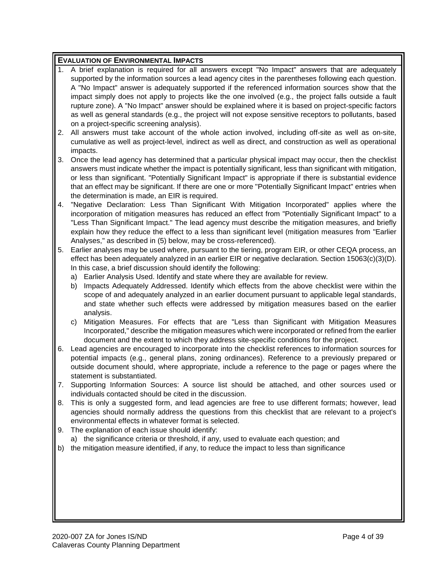#### **EVALUATION OF ENVIRONMENTAL IMPACTS**

- 1. A brief explanation is required for all answers except "No Impact" answers that are adequately supported by the information sources a lead agency cites in the parentheses following each question. A "No Impact" answer is adequately supported if the referenced information sources show that the impact simply does not apply to projects like the one involved (e.g., the project falls outside a fault rupture zone). A "No Impact" answer should be explained where it is based on project-specific factors as well as general standards (e.g., the project will not expose sensitive receptors to pollutants, based on a project-specific screening analysis).
- 2. All answers must take account of the whole action involved, including off-site as well as on-site, cumulative as well as project-level, indirect as well as direct, and construction as well as operational impacts.
- 3. Once the lead agency has determined that a particular physical impact may occur, then the checklist answers must indicate whether the impact is potentially significant, less than significant with mitigation, or less than significant. "Potentially Significant Impact" is appropriate if there is substantial evidence that an effect may be significant. If there are one or more "Potentially Significant Impact" entries when the determination is made, an EIR is required.
- 4. "Negative Declaration: Less Than Significant With Mitigation Incorporated" applies where the incorporation of mitigation measures has reduced an effect from "Potentially Significant Impact" to a "Less Than Significant Impact." The lead agency must describe the mitigation measures, and briefly explain how they reduce the effect to a less than significant level (mitigation measures from "Earlier Analyses," as described in (5) below, may be cross-referenced).
- 5. Earlier analyses may be used where, pursuant to the tiering, program EIR, or other CEQA process, an effect has been adequately analyzed in an earlier EIR or negative declaration. Section 15063(c)(3)(D). In this case, a brief discussion should identify the following:
	- a) Earlier Analysis Used. Identify and state where they are available for review.
	- b) Impacts Adequately Addressed. Identify which effects from the above checklist were within the scope of and adequately analyzed in an earlier document pursuant to applicable legal standards, and state whether such effects were addressed by mitigation measures based on the earlier analysis.
	- c) Mitigation Measures. For effects that are "Less than Significant with Mitigation Measures Incorporated," describe the mitigation measures which were incorporated or refined from the earlier document and the extent to which they address site-specific conditions for the project.
- 6. Lead agencies are encouraged to incorporate into the checklist references to information sources for potential impacts (e.g., general plans, zoning ordinances). Reference to a previously prepared or outside document should, where appropriate, include a reference to the page or pages where the statement is substantiated.
- 7. Supporting Information Sources: A source list should be attached, and other sources used or individuals contacted should be cited in the discussion.
- 8. This is only a suggested form, and lead agencies are free to use different formats; however, lead agencies should normally address the questions from this checklist that are relevant to a project's environmental effects in whatever format is selected.
- 9. The explanation of each issue should identify:
	- a) the significance criteria or threshold, if any, used to evaluate each question; and
- b) the mitigation measure identified, if any, to reduce the impact to less than significance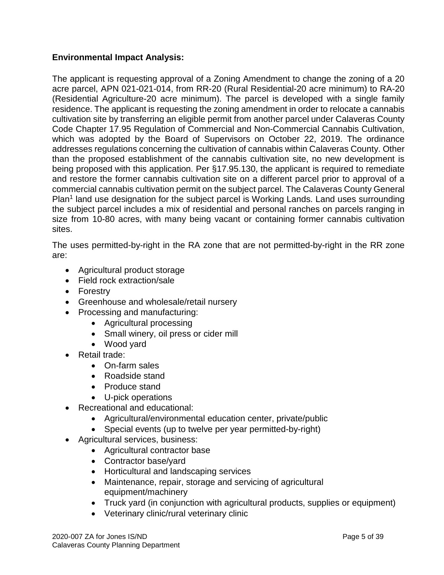#### **Environmental Impact Analysis:**

The applicant is requesting approval of a Zoning Amendment to change the zoning of a 20 acre parcel, APN 021-021-014, from RR-20 (Rural Residential-20 acre minimum) to RA-20 (Residential Agriculture-20 acre minimum). The parcel is developed with a single family residence. The applicant is requesting the zoning amendment in order to relocate a cannabis cultivation site by transferring an eligible permit from another parcel under Calaveras County Code Chapter 17.95 Regulation of Commercial and Non-Commercial Cannabis Cultivation, which was adopted by the Board of Supervisors on October 22, 2019. The ordinance addresses regulations concerning the cultivation of cannabis within Calaveras County. Other than the proposed establishment of the cannabis cultivation site, no new development is being proposed with this application. Per §17.95.130, the applicant is required to remediate and restore the former cannabis cultivation site on a different parcel prior to approval of a commercial cannabis cultivation permit on the subject parcel. The Calaveras County General Plan<sup>1</sup> land use designation for the subject parcel is Working Lands. Land uses surrounding the subject parcel includes a mix of residential and personal ranches on parcels ranging in size from 10-80 acres, with many being vacant or containing former cannabis cultivation sites.

The uses permitted-by-right in the RA zone that are not permitted-by-right in the RR zone are:

- Agricultural product storage
- Field rock extraction/sale
- Forestry
- Greenhouse and wholesale/retail nursery
- Processing and manufacturing:
	- Agricultural processing
	- Small winery, oil press or cider mill
	- Wood yard
- Retail trade:
	- On-farm sales
	- Roadside stand
	- Produce stand
	- U-pick operations
- Recreational and educational:
	- Agricultural/environmental education center, private/public
	- Special events (up to twelve per year permitted-by-right)
- Agricultural services, business:
	- Agricultural contractor base
	- Contractor base/yard
	- Horticultural and landscaping services
	- Maintenance, repair, storage and servicing of agricultural equipment/machinery
	- Truck yard (in conjunction with agricultural products, supplies or equipment)
	- Veterinary clinic/rural veterinary clinic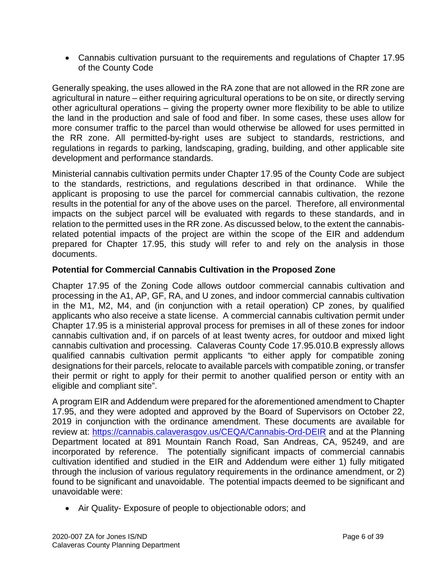• Cannabis cultivation pursuant to the requirements and regulations of Chapter 17.95 of the County Code

Generally speaking, the uses allowed in the RA zone that are not allowed in the RR zone are agricultural in nature – either requiring agricultural operations to be on site, or directly serving other agricultural operations – giving the property owner more flexibility to be able to utilize the land in the production and sale of food and fiber. In some cases, these uses allow for more consumer traffic to the parcel than would otherwise be allowed for uses permitted in the RR zone. All permitted-by-right uses are subject to standards, restrictions, and regulations in regards to parking, landscaping, grading, building, and other applicable site development and performance standards.

Ministerial cannabis cultivation permits under Chapter 17.95 of the County Code are subject to the standards, restrictions, and regulations described in that ordinance. While the applicant is proposing to use the parcel for commercial cannabis cultivation, the rezone results in the potential for any of the above uses on the parcel. Therefore, all environmental impacts on the subject parcel will be evaluated with regards to these standards, and in relation to the permitted uses in the RR zone. As discussed below, to the extent the cannabisrelated potential impacts of the project are within the scope of the EIR and addendum prepared for Chapter 17.95, this study will refer to and rely on the analysis in those documents.

#### **Potential for Commercial Cannabis Cultivation in the Proposed Zone**

Chapter 17.95 of the Zoning Code allows outdoor commercial cannabis cultivation and processing in the A1, AP, GF, RA, and U zones, and indoor commercial cannabis cultivation in the M1, M2, M4, and (in conjunction with a retail operation) CP zones, by qualified applicants who also receive a state license. A commercial cannabis cultivation permit under Chapter 17.95 is a ministerial approval process for premises in all of these zones for indoor cannabis cultivation and, if on parcels of at least twenty acres, for outdoor and mixed light cannabis cultivation and processing. Calaveras County Code 17.95.010.B expressly allows qualified cannabis cultivation permit applicants "to either apply for compatible zoning designations for their parcels, relocate to available parcels with compatible zoning, or transfer their permit or right to apply for their permit to another qualified person or entity with an eligible and compliant site".

A program EIR and Addendum were prepared for the aforementioned amendment to Chapter 17.95, and they were adopted and approved by the Board of Supervisors on October 22, 2019 in conjunction with the ordinance amendment. These documents are available for review at:<https://cannabis.calaverasgov.us/CEQA/Cannabis-Ord-DEIR> and at the Planning Department located at 891 Mountain Ranch Road, San Andreas, CA, 95249, and are incorporated by reference. The potentially significant impacts of commercial cannabis cultivation identified and studied in the EIR and Addendum were either 1) fully mitigated through the inclusion of various regulatory requirements in the ordinance amendment, or 2) found to be significant and unavoidable. The potential impacts deemed to be significant and unavoidable were:

• Air Quality- Exposure of people to objectionable odors; and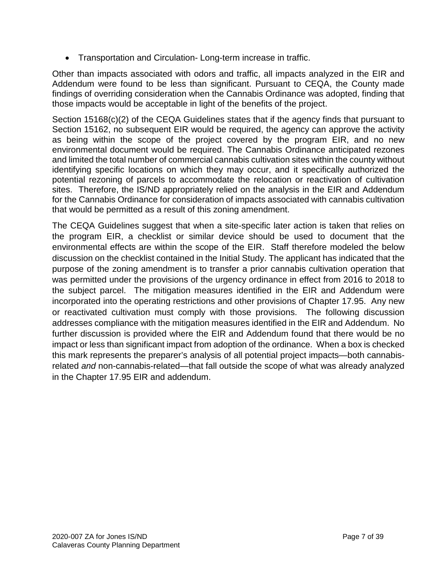• Transportation and Circulation- Long-term increase in traffic.

Other than impacts associated with odors and traffic, all impacts analyzed in the EIR and Addendum were found to be less than significant. Pursuant to CEQA, the County made findings of overriding consideration when the Cannabis Ordinance was adopted, finding that those impacts would be acceptable in light of the benefits of the project.

Section 15168(c)(2) of the CEQA Guidelines states that if the agency finds that pursuant to Section 15162, no subsequent EIR would be required, the agency can approve the activity as being within the scope of the project covered by the program EIR, and no new environmental document would be required. The Cannabis Ordinance anticipated rezones and limited the total number of commercial cannabis cultivation sites within the county without identifying specific locations on which they may occur, and it specifically authorized the potential rezoning of parcels to accommodate the relocation or reactivation of cultivation sites. Therefore, the IS/ND appropriately relied on the analysis in the EIR and Addendum for the Cannabis Ordinance for consideration of impacts associated with cannabis cultivation that would be permitted as a result of this zoning amendment.

The CEQA Guidelines suggest that when a site-specific later action is taken that relies on the program EIR, a checklist or similar device should be used to document that the environmental effects are within the scope of the EIR. Staff therefore modeled the below discussion on the checklist contained in the Initial Study. The applicant has indicated that the purpose of the zoning amendment is to transfer a prior cannabis cultivation operation that was permitted under the provisions of the urgency ordinance in effect from 2016 to 2018 to the subject parcel. The mitigation measures identified in the EIR and Addendum were incorporated into the operating restrictions and other provisions of Chapter 17.95. Any new or reactivated cultivation must comply with those provisions. The following discussion addresses compliance with the mitigation measures identified in the EIR and Addendum. No further discussion is provided where the EIR and Addendum found that there would be no impact or less than significant impact from adoption of the ordinance. When a box is checked this mark represents the preparer's analysis of all potential project impacts—both cannabisrelated *and* non-cannabis-related—that fall outside the scope of what was already analyzed in the Chapter 17.95 EIR and addendum.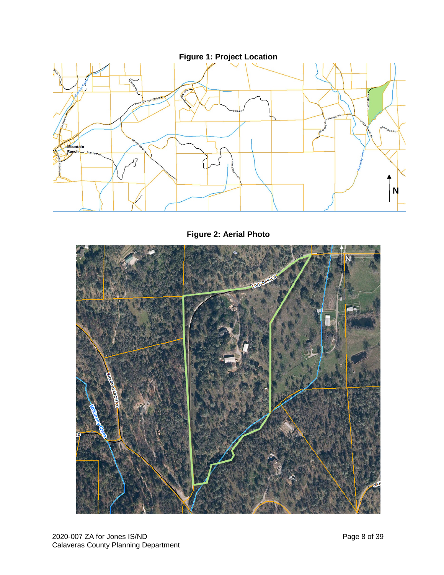

**Figure 2: Aerial Photo**

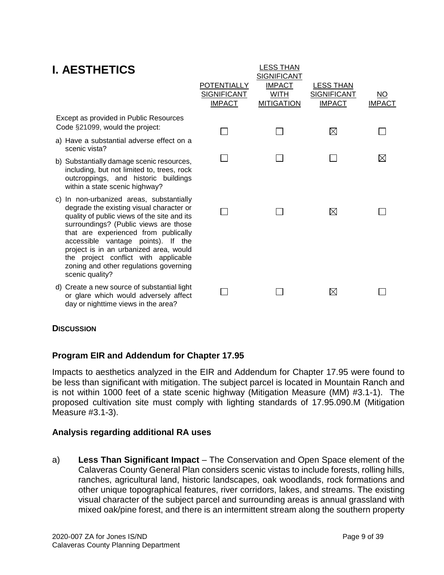## **I. AESTHETICS**

| I. AESINEIIUS                                                                                                                                                                                                                                                                                                                                                                                             | <b>POTENTIALLY</b><br><b>SIGNIFICANT</b><br><b>IMPACT</b> | ---- - - - - -<br><b>SIGNIFICANT</b><br><b>IMPACT</b><br><b>WITH</b><br><b>MITIGATION</b> | <b>LESS THAN</b><br><b>SIGNIFICANT</b><br><b>IMPACT</b> | <u>NO</u><br><b>IMPACT</b> |
|-----------------------------------------------------------------------------------------------------------------------------------------------------------------------------------------------------------------------------------------------------------------------------------------------------------------------------------------------------------------------------------------------------------|-----------------------------------------------------------|-------------------------------------------------------------------------------------------|---------------------------------------------------------|----------------------------|
| Except as provided in Public Resources<br>Code §21099, would the project:                                                                                                                                                                                                                                                                                                                                 |                                                           |                                                                                           | $\boxtimes$                                             |                            |
| a) Have a substantial adverse effect on a<br>scenic vista?                                                                                                                                                                                                                                                                                                                                                |                                                           |                                                                                           |                                                         |                            |
| b) Substantially damage scenic resources,<br>including, but not limited to, trees, rock<br>outcroppings, and historic buildings<br>within a state scenic highway?                                                                                                                                                                                                                                         |                                                           |                                                                                           |                                                         | $\boxtimes$                |
| c) In non-urbanized areas, substantially<br>degrade the existing visual character or<br>quality of public views of the site and its<br>surroundings? (Public views are those<br>that are experienced from publically<br>accessible vantage points). If the<br>project is in an urbanized area, would<br>the project conflict with applicable<br>zoning and other regulations governing<br>scenic quality? |                                                           |                                                                                           | $\boxtimes$                                             |                            |
| d) Create a new source of substantial light<br>or glare which would adversely affect<br>day or nighttime views in the area?                                                                                                                                                                                                                                                                               |                                                           |                                                                                           | $\boxtimes$                                             |                            |

LESS THAN

#### **DISCUSSION**

#### **Program EIR and Addendum for Chapter 17.95**

Impacts to aesthetics analyzed in the EIR and Addendum for Chapter 17.95 were found to be less than significant with mitigation. The subject parcel is located in Mountain Ranch and is not within 1000 feet of a state scenic highway (Mitigation Measure (MM) #3.1-1). The proposed cultivation site must comply with lighting standards of 17.95.090.M (Mitigation Measure #3.1-3).

#### **Analysis regarding additional RA uses**

a) **Less Than Significant Impact** – The Conservation and Open Space element of the Calaveras County General Plan considers scenic vistas to include forests, rolling hills, ranches, agricultural land, historic landscapes, oak woodlands, rock formations and other unique topographical features, river corridors, lakes, and streams. The existing visual character of the subject parcel and surrounding areas is annual grassland with mixed oak/pine forest, and there is an intermittent stream along the southern property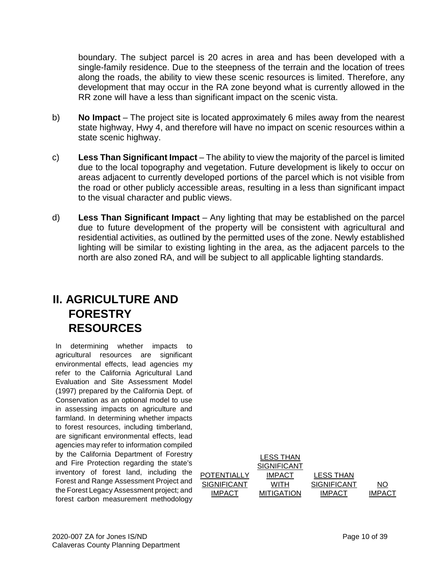boundary. The subject parcel is 20 acres in area and has been developed with a single-family residence. Due to the steepness of the terrain and the location of trees along the roads, the ability to view these scenic resources is limited. Therefore, any development that may occur in the RA zone beyond what is currently allowed in the RR zone will have a less than significant impact on the scenic vista.

- b) **No Impact** The project site is located approximately 6 miles away from the nearest state highway, Hwy 4, and therefore will have no impact on scenic resources within a state scenic highway.
- c) **Less Than Significant Impact**  The ability to view the majority of the parcel is limited due to the local topography and vegetation. Future development is likely to occur on areas adjacent to currently developed portions of the parcel which is not visible from the road or other publicly accessible areas, resulting in a less than significant impact to the visual character and public views.
- d) **Less Than Significant Impact** Any lighting that may be established on the parcel due to future development of the property will be consistent with agricultural and residential activities, as outlined by the permitted uses of the zone. Newly established lighting will be similar to existing lighting in the area, as the adjacent parcels to the north are also zoned RA, and will be subject to all applicable lighting standards.

## **II. AGRICULTURE AND FORESTRY RESOURCES**

In determining whether impacts to agricultural resources are significant environmental effects, lead agencies my refer to the California Agricultural Land Evaluation and Site Assessment Model (1997) prepared by the California Dept. of Conservation as an optional model to use in assessing impacts on agriculture and farmland. In determining whether impacts to forest resources, including timberland, are significant environmental effects, lead agencies may refer to information compiled by the California Department of Forestry and Fire Protection regarding the state's inventory of forest land, including the Forest and Range Assessment Project and the Forest Legacy Assessment project; and forest carbon measurement methodology

|               | <b>LESS THAN</b>  |                    |               |
|---------------|-------------------|--------------------|---------------|
|               | SIGNIFICANT       |                    |               |
| POTENTIALLY   | <b>IMPACT</b>     | <b>LESS THAN</b>   |               |
| SIGNIFICANT   | WITH              | <b>SIGNIFICANT</b> | NΟ            |
| <b>IMPACT</b> | <b>MITIGATION</b> | <b>IMPACT</b>      | <b>IMPACT</b> |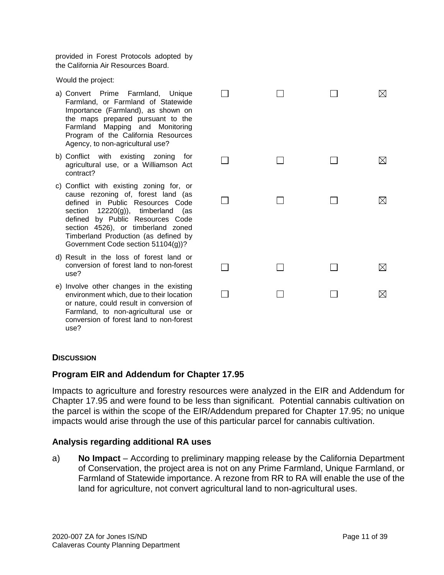provided in Forest Protocols adopted by the California Air Resources Board.

Would the project:

- a) Convert Prime Farmland, Unique Farmland, or Farmland of Statewide Importance (Farmland), as shown on the maps prepared pursuant to the Farmland Mapping and Monitoring Program of the California Resources Agency, to non-agricultural use?
- b) Conflict with existing zoning for agricultural use, or a Williamson Act contract?
- c) Conflict with existing zoning for, or cause rezoning of, forest land (as defined in Public Resources Code section 12220(g)), timberland (as defined by Public Resources Code section 4526), or timberland zoned Timberland Production (as defined by Government Code section 51104(g))?
- d) Result in the loss of forest land or conversion of forest land to non-forest use?
- e) Involve other changes in the existing environment which, due to their location or nature, could result in conversion of Farmland, to non-agricultural use or conversion of forest land to non-forest use?

| П      | $\Box$ | $\Box$ | $\boxtimes$ |
|--------|--------|--------|-------------|
|        |        |        |             |
| $\Box$ | $\Box$ | $\Box$ | $\boxtimes$ |
| $\Box$ | $\Box$ | $\Box$ | $\boxtimes$ |
|        |        |        |             |
| $\Box$ | $\Box$ | $\Box$ | $\boxtimes$ |
|        |        |        | $\boxtimes$ |

#### **DISCUSSION**

#### **Program EIR and Addendum for Chapter 17.95**

Impacts to agriculture and forestry resources were analyzed in the EIR and Addendum for Chapter 17.95 and were found to be less than significant. Potential cannabis cultivation on the parcel is within the scope of the EIR/Addendum prepared for Chapter 17.95; no unique impacts would arise through the use of this particular parcel for cannabis cultivation.

#### **Analysis regarding additional RA uses**

a) **No Impact** – According to preliminary mapping release by the California Department of Conservation, the project area is not on any Prime Farmland, Unique Farmland, or Farmland of Statewide importance. A rezone from RR to RA will enable the use of the land for agriculture, not convert agricultural land to non-agricultural uses.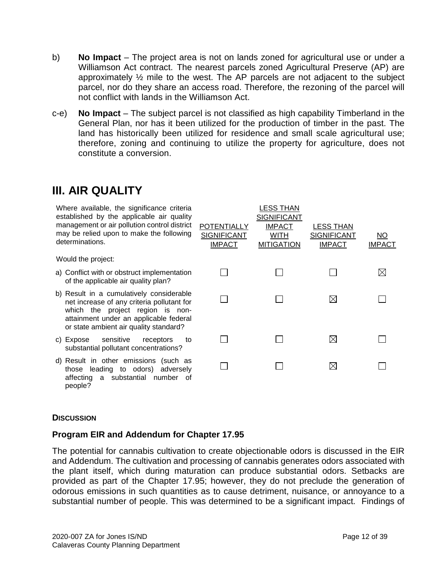- b) **No Impact** The project area is not on lands zoned for agricultural use or under a Williamson Act contract. The nearest parcels zoned Agricultural Preserve (AP) are approximately  $\frac{1}{2}$  mile to the west. The AP parcels are not adjacent to the subject parcel, nor do they share an access road. Therefore, the rezoning of the parcel will not conflict with lands in the Williamson Act.
- c-e) **No Impact** The subject parcel is not classified as high capability Timberland in the General Plan, nor has it been utilized for the production of timber in the past. The land has historically been utilized for residence and small scale agricultural use; therefore, zoning and continuing to utilize the property for agriculture, does not constitute a conversion.

## **III. AIR QUALITY**

| Where available, the significance criteria<br>established by the applicable air quality<br>management or air pollution control district<br>may be relied upon to make the following<br>determinations.         | <b>POTENTIALLY</b><br><b>SIGNIFICANT</b><br><b>IMPACT</b> | LESS THAN<br><b>SIGNIFICANT</b><br><b>IMPACT</b><br><b>WITH</b><br><b>MITIGATION</b> | <b>LESS THAN</b><br><b>SIGNIFICANT</b><br><b>IMPACT</b> | <u>NO</u><br><b>IMPACT</b> |
|----------------------------------------------------------------------------------------------------------------------------------------------------------------------------------------------------------------|-----------------------------------------------------------|--------------------------------------------------------------------------------------|---------------------------------------------------------|----------------------------|
| Would the project:                                                                                                                                                                                             |                                                           |                                                                                      |                                                         |                            |
| a) Conflict with or obstruct implementation<br>of the applicable air quality plan?                                                                                                                             |                                                           |                                                                                      |                                                         | $\bowtie$                  |
| b) Result in a cumulatively considerable<br>net increase of any criteria pollutant for<br>which the project region is non-<br>attainment under an applicable federal<br>or state ambient air quality standard? |                                                           |                                                                                      | $\boxtimes$                                             |                            |
| sensitive<br>c) Expose<br>receptors<br>to<br>substantial pollutant concentrations?                                                                                                                             |                                                           |                                                                                      | $\boxtimes$                                             |                            |
| d) Result in other emissions (such as<br>those leading to odors) adversely<br>affecting a substantial number of                                                                                                |                                                           |                                                                                      | $\boxtimes$                                             |                            |

#### **DISCUSSION**

people?

#### **Program EIR and Addendum for Chapter 17.95**

The potential for cannabis cultivation to create objectionable odors is discussed in the EIR and Addendum. The cultivation and processing of cannabis generates odors associated with the plant itself, which during maturation can produce substantial odors. Setbacks are provided as part of the Chapter 17.95; however, they do not preclude the generation of odorous emissions in such quantities as to cause detriment, nuisance, or annoyance to a substantial number of people. This was determined to be a significant impact. Findings of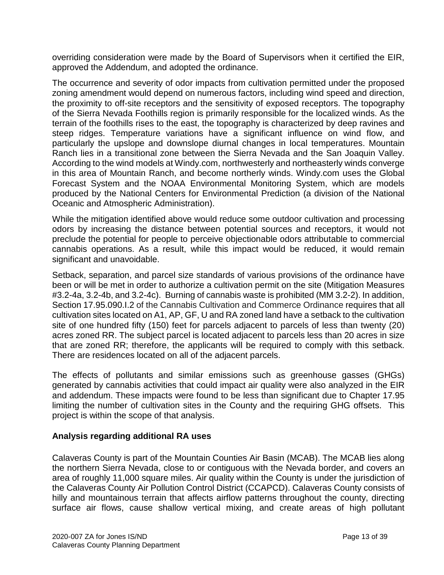overriding consideration were made by the Board of Supervisors when it certified the EIR, approved the Addendum, and adopted the ordinance.

The occurrence and severity of odor impacts from cultivation permitted under the proposed zoning amendment would depend on numerous factors, including wind speed and direction, the proximity to off-site receptors and the sensitivity of exposed receptors. The topography of the Sierra Nevada Foothills region is primarily responsible for the localized winds. As the terrain of the foothills rises to the east, the topography is characterized by deep ravines and steep ridges. Temperature variations have a significant influence on wind flow, and particularly the upslope and downslope diurnal changes in local temperatures. Mountain Ranch lies in a transitional zone between the Sierra Nevada and the San Joaquin Valley. According to the wind models at Windy.com, northwesterly and northeasterly winds converge in this area of Mountain Ranch, and become northerly winds. Windy.com uses the Global Forecast System and the NOAA Environmental Monitoring System, which are models produced by the National Centers for Environmental Prediction (a division of the National Oceanic and Atmospheric Administration).

While the mitigation identified above would reduce some outdoor cultivation and processing odors by increasing the distance between potential sources and receptors, it would not preclude the potential for people to perceive objectionable odors attributable to commercial cannabis operations. As a result, while this impact would be reduced, it would remain significant and unavoidable.

Setback, separation, and parcel size standards of various provisions of the ordinance have been or will be met in order to authorize a cultivation permit on the site (Mitigation Measures #3.2-4a, 3.2-4b, and 3.2-4c). Burning of cannabis waste is prohibited (MM 3.2-2). In addition, Section 17.95.090.I.2 of the Cannabis Cultivation and Commerce Ordinance requires that all cultivation sites located on A1, AP, GF, U and RA zoned land have a setback to the cultivation site of one hundred fifty (150) feet for parcels adjacent to parcels of less than twenty (20) acres zoned RR. The subject parcel is located adjacent to parcels less than 20 acres in size that are zoned RR; therefore, the applicants will be required to comply with this setback. There are residences located on all of the adjacent parcels.

The effects of pollutants and similar emissions such as greenhouse gasses (GHGs) generated by cannabis activities that could impact air quality were also analyzed in the EIR and addendum. These impacts were found to be less than significant due to Chapter 17.95 limiting the number of cultivation sites in the County and the requiring GHG offsets. This project is within the scope of that analysis.

#### **Analysis regarding additional RA uses**

Calaveras County is part of the Mountain Counties Air Basin (MCAB). The MCAB lies along the northern Sierra Nevada, close to or contiguous with the Nevada border, and covers an area of roughly 11,000 square miles. Air quality within the County is under the jurisdiction of the Calaveras County Air Pollution Control District (CCAPCD). Calaveras County consists of hilly and mountainous terrain that affects airflow patterns throughout the county, directing surface air flows, cause shallow vertical mixing, and create areas of high pollutant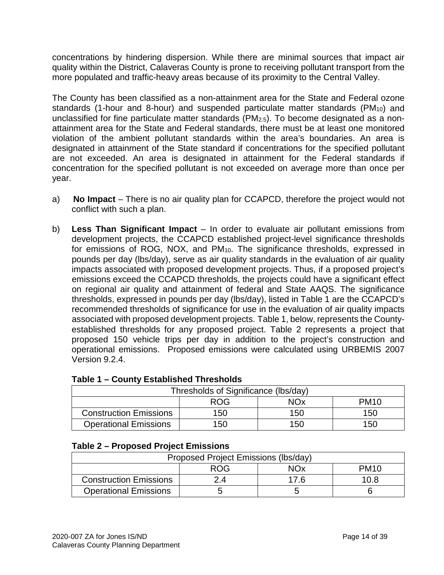concentrations by hindering dispersion. While there are minimal sources that impact air quality within the District, Calaveras County is prone to receiving pollutant transport from the more populated and traffic-heavy areas because of its proximity to the Central Valley.

The County has been classified as a non-attainment area for the State and Federal ozone standards (1-hour and 8-hour) and suspended particulate matter standards ( $PM<sub>10</sub>$ ) and unclassified for fine particulate matter standards (PM2.5). To become designated as a nonattainment area for the State and Federal standards, there must be at least one monitored violation of the ambient pollutant standards within the area's boundaries. An area is designated in attainment of the State standard if concentrations for the specified pollutant are not exceeded. An area is designated in attainment for the Federal standards if concentration for the specified pollutant is not exceeded on average more than once per year.

- a) **No Impact** There is no air quality plan for CCAPCD, therefore the project would not conflict with such a plan.
- b) **Less Than Significant Impact** In order to evaluate air pollutant emissions from development projects, the CCAPCD established project-level significance thresholds for emissions of ROG, NOX, and PM<sub>10</sub>. The significance thresholds, expressed in pounds per day (lbs/day), serve as air quality standards in the evaluation of air quality impacts associated with proposed development projects. Thus, if a proposed project's emissions exceed the CCAPCD thresholds, the projects could have a significant effect on regional air quality and attainment of federal and State AAQS. The significance thresholds, expressed in pounds per day (lbs/day), listed in Table 1 are the CCAPCD's recommended thresholds of significance for use in the evaluation of air quality impacts associated with proposed development projects. Table 1, below, represents the Countyestablished thresholds for any proposed project. Table 2 represents a project that proposed 150 vehicle trips per day in addition to the project's construction and operational emissions. Proposed emissions were calculated using URBEMIS 2007 Version 9.2.4.

| Thresholds of Significance (lbs/day)    |     |     |     |  |
|-----------------------------------------|-----|-----|-----|--|
| <b>NOx</b><br><b>PM10</b><br><b>ROG</b> |     |     |     |  |
| <b>Construction Emissions</b>           | 150 | 150 | 150 |  |
| <b>Operational Emissions</b>            | 150 | 150 | 150 |  |

### **Table 1 – County Established Thresholds**

#### **Table 2 – Proposed Project Emissions**

| Proposed Project Emissions (Ibs/day)  |     |  |      |  |
|---------------------------------------|-----|--|------|--|
| <b>ROG</b><br>NOx<br>PM <sub>10</sub> |     |  |      |  |
| <b>Construction Emissions</b>         | ″ ∆ |  | 10.8 |  |
| <b>Operational Emissions</b>          |     |  |      |  |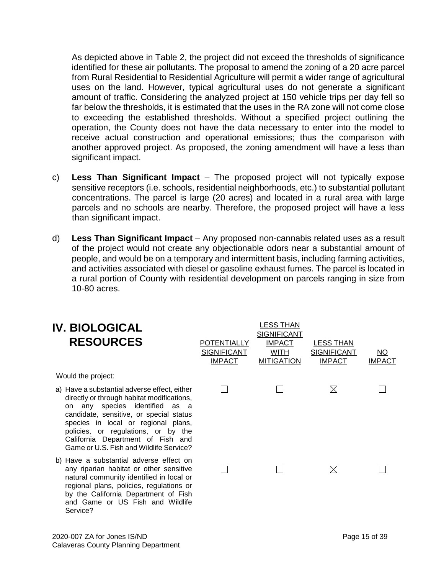As depicted above in Table 2, the project did not exceed the thresholds of significance identified for these air pollutants. The proposal to amend the zoning of a 20 acre parcel from Rural Residential to Residential Agriculture will permit a wider range of agricultural uses on the land. However, typical agricultural uses do not generate a significant amount of traffic. Considering the analyzed project at 150 vehicle trips per day fell so far below the thresholds, it is estimated that the uses in the RA zone will not come close to exceeding the established thresholds. Without a specified project outlining the operation, the County does not have the data necessary to enter into the model to receive actual construction and operational emissions; thus the comparison with another approved project. As proposed, the zoning amendment will have a less than significant impact.

- c) **Less Than Significant Impact** The proposed project will not typically expose sensitive receptors (i.e. schools, residential neighborhoods, etc.) to substantial pollutant concentrations. The parcel is large (20 acres) and located in a rural area with large parcels and no schools are nearby. Therefore, the proposed project will have a less than significant impact.
- d) **Less Than Significant Impact** Any proposed non-cannabis related uses as a result of the project would not create any objectionable odors near a substantial amount of people, and would be on a temporary and intermittent basis, including farming activities, and activities associated with diesel or gasoline exhaust fumes. The parcel is located in a rural portion of County with residential development on parcels ranging in size from 10-80 acres.

| <b>IV. BIOLOGICAL</b><br><b>RESOURCES</b>                                                                                                                                                                                                                                                                                                | POTENTIALLY<br><b>SIGNIFICANT</b><br><b>IMPACT</b> | <b>LESS THAN</b><br><b>SIGNIFICANT</b><br><b>IMPACT</b><br>WITH<br><b>MITIGATION</b> | <b>LESS THAN</b><br><b>SIGNIFICANT</b><br><b>IMPACT</b> | NO.<br><b>IMPACT</b> |
|------------------------------------------------------------------------------------------------------------------------------------------------------------------------------------------------------------------------------------------------------------------------------------------------------------------------------------------|----------------------------------------------------|--------------------------------------------------------------------------------------|---------------------------------------------------------|----------------------|
| Would the project:                                                                                                                                                                                                                                                                                                                       |                                                    |                                                                                      |                                                         |                      |
| a) Have a substantial adverse effect, either<br>directly or through habitat modifications,<br>any species identified as a<br>on<br>candidate, sensitive, or special status<br>species in local or regional plans,<br>policies, or regulations, or by the<br>California Department of Fish and<br>Game or U.S. Fish and Wildlife Service? |                                                    |                                                                                      | ⊠                                                       |                      |
| b) Have a substantial adverse effect on<br>any riparian habitat or other sensitive<br>natural community identified in local or<br>regional plans, policies, regulations or<br>by the California Department of Fish<br>and Game or US Fish and Wildlife<br>Service?                                                                       |                                                    |                                                                                      | ⊠                                                       |                      |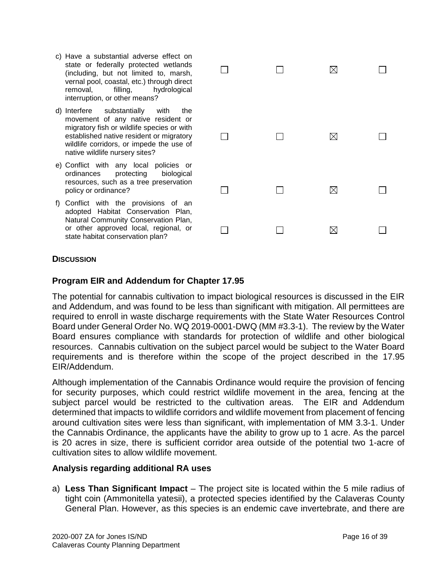- c) Have a substantial adverse effect on state or federally protected wetlands (including, but not limited to, marsh, vernal pool, coastal, etc.) through direct removal, filling, hydrological interruption, or other means?
- d) Interfere substantially with the movement of any native resident or migratory fish or wildlife species or with established native resident or migratory wildlife corridors, or impede the use of native wildlife nursery sites?
- e) Conflict with any local policies or ordinances protecting biological resources, such as a tree preservation policy or ordinance?
- f) Conflict with the provisions of an adopted Habitat Conservation Plan, Natural Community Conservation Plan, or other approved local, regional, or state habitat conservation plan?

|        | $\mathsf{I}$ | ⊠           |                          |
|--------|--------------|-------------|--------------------------|
| $\Box$ | $\Box$       | $\boxtimes$ | $\Box$                   |
| $\Box$ | $\Box$       | $\boxtimes$ | $\overline{\phantom{a}}$ |
|        |              | $\boxtimes$ |                          |

#### **DISCUSSION**

#### **Program EIR and Addendum for Chapter 17.95**

The potential for cannabis cultivation to impact biological resources is discussed in the EIR and Addendum, and was found to be less than significant with mitigation. All permittees are required to enroll in waste discharge requirements with the State Water Resources Control Board under General Order No. WQ 2019-0001-DWQ (MM #3.3-1). The review by the Water Board ensures compliance with standards for protection of wildlife and other biological resources. Cannabis cultivation on the subject parcel would be subject to the Water Board requirements and is therefore within the scope of the project described in the 17.95 EIR/Addendum.

Although implementation of the Cannabis Ordinance would require the provision of fencing for security purposes, which could restrict wildlife movement in the area, fencing at the subject parcel would be restricted to the cultivation areas. The EIR and Addendum determined that impacts to wildlife corridors and wildlife movement from placement of fencing around cultivation sites were less than significant, with implementation of MM 3.3-1. Under the Cannabis Ordinance, the applicants have the ability to grow up to 1 acre. As the parcel is 20 acres in size, there is sufficient corridor area outside of the potential two 1-acre of cultivation sites to allow wildlife movement.

#### **Analysis regarding additional RA uses**

a) **Less Than Significant Impact** – The project site is located within the 5 mile radius of tight coin (Ammonitella yatesii), a protected species identified by the Calaveras County General Plan. However, as this species is an endemic cave invertebrate, and there are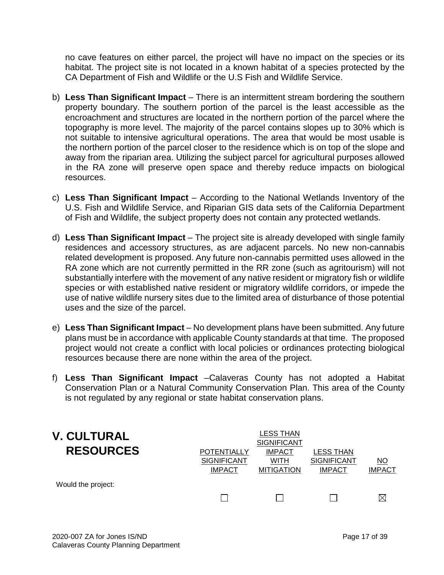no cave features on either parcel, the project will have no impact on the species or its habitat. The project site is not located in a known habitat of a species protected by the CA Department of Fish and Wildlife or the U.S Fish and Wildlife Service.

- b) **Less Than Significant Impact** There is an intermittent stream bordering the southern property boundary. The southern portion of the parcel is the least accessible as the encroachment and structures are located in the northern portion of the parcel where the topography is more level. The majority of the parcel contains slopes up to 30% which is not suitable to intensive agricultural operations. The area that would be most usable is the northern portion of the parcel closer to the residence which is on top of the slope and away from the riparian area. Utilizing the subject parcel for agricultural purposes allowed in the RA zone will preserve open space and thereby reduce impacts on biological resources.
- c) **Less Than Significant Impact** According to the National Wetlands Inventory of the U.S. Fish and Wildlife Service, and Riparian GIS data sets of the California Department of Fish and Wildlife, the subject property does not contain any protected wetlands.
- d) **Less Than Significant Impact** The project site is already developed with single family residences and accessory structures, as are adjacent parcels. No new non-cannabis related development is proposed. Any future non-cannabis permitted uses allowed in the RA zone which are not currently permitted in the RR zone (such as agritourism) will not substantially interfere with the movement of any native resident or migratory fish or wildlife species or with established native resident or migratory wildlife corridors, or impede the use of native wildlife nursery sites due to the limited area of disturbance of those potential uses and the size of the parcel.
- e) **Less Than Significant Impact** No development plans have been submitted. Any future plans must be in accordance with applicable County standards at that time. The proposed project would not create a conflict with local policies or ordinances protecting biological resources because there are none within the area of the project.
- f) **Less Than Significant Impact** –Calaveras County has not adopted a Habitat Conservation Plan or a Natural Community Conservation Plan. This area of the County is not regulated by any regional or state habitat conservation plans.

| <b>V. CULTURAL</b><br><b>RESOURCES</b> | <b>POTENTIALLY</b>                  | LESS THAN<br><b>SIGNIFICANT</b><br><b>IMPACT</b> | LESS THAN                           |                            |
|----------------------------------------|-------------------------------------|--------------------------------------------------|-------------------------------------|----------------------------|
|                                        | <b>SIGNIFICANT</b><br><b>IMPACT</b> | WITH<br><b>MITIGATION</b>                        | <b>SIGNIFICANT</b><br><b>IMPACT</b> | <u>NO</u><br><b>IMPACT</b> |
| Would the project:                     |                                     |                                                  |                                     |                            |
|                                        |                                     |                                                  |                                     | M                          |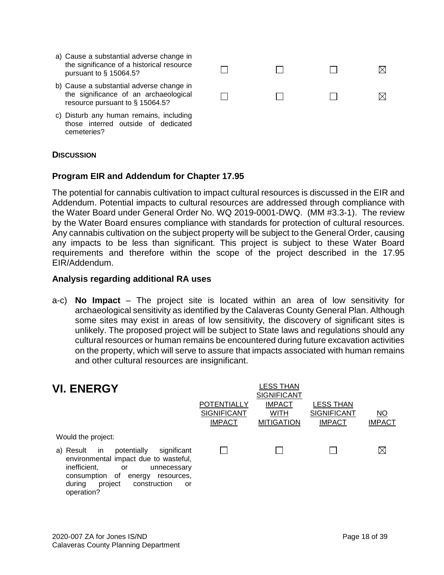| a) Cause a substantial adverse change in<br>the significance of a historical resource<br>pursuant to $\S$ 15064.5?      |  |  |
|-------------------------------------------------------------------------------------------------------------------------|--|--|
| b) Cause a substantial adverse change in<br>the significance of an archaeological<br>resource pursuant to $\S$ 15064.5? |  |  |
| c) Disturb any human remains, including<br>those interred outside of dedicated                                          |  |  |

#### **DISCUSSION**

cemeteries?

#### **Program EIR and Addendum for Chapter 17.95**

The potential for cannabis cultivation to impact cultural resources is discussed in the EIR and Addendum. Potential impacts to cultural resources are addressed through compliance with the Water Board under General Order No. WQ 2019-0001-DWQ. (MM #3.3-1). The review by the Water Board ensures compliance with standards for protection of cultural resources. Any cannabis cultivation on the subject property will be subject to the General Order, causing any impacts to be less than significant. This project is subject to these Water Board requirements and therefore within the scope of the project described in the 17.95 EIR/Addendum.

#### **Analysis regarding additional RA uses**

a-c) **No Impact** – The project site is located within an area of low sensitivity for archaeological sensitivity as identified by the Calaveras County General Plan. Although some sites may exist in areas of low sensitivity, the discovery of significant sites is unlikely. The proposed project will be subject to State laws and regulations should any cultural resources or human remains be encountered during future excavation activities on the property, which will serve to assure that impacts associated with human remains and other cultural resources are insignificant.

| <b>VI. ENERGY</b>                                                                                                                                                                                                                  | <b>POTENTIALLY</b><br><b>SIGNIFICANT</b><br><b>IMPACT</b> | LESS THAN<br><b>SIGNIFICANT</b><br><b>IMPACT</b><br><b>WITH</b><br><b>MITIGATION</b> | LESS THAN<br><b>SIGNIFICANT</b><br><b>IMPACT</b> | NO<br><b>IMPACT</b> |
|------------------------------------------------------------------------------------------------------------------------------------------------------------------------------------------------------------------------------------|-----------------------------------------------------------|--------------------------------------------------------------------------------------|--------------------------------------------------|---------------------|
| Would the project:                                                                                                                                                                                                                 |                                                           |                                                                                      |                                                  |                     |
| a) Result<br>potentially<br>significant<br>in.<br>environmental impact due to wasteful,<br>inefficient,<br>or<br>unnecessary<br>of<br>consumption<br>energy<br>resources,<br>project<br>construction<br>during<br>or<br>operation? |                                                           |                                                                                      |                                                  | ⊠                   |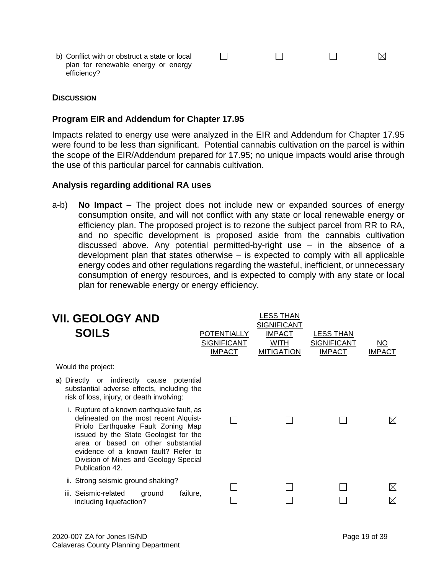$\Box$  $\Box$  $\Box$  $\boxtimes$ b) Conflict with or obstruct a state or local plan for renewable energy or energy efficiency?

#### **DISCUSSION**

#### **Program EIR and Addendum for Chapter 17.95**

Impacts related to energy use were analyzed in the EIR and Addendum for Chapter 17.95 were found to be less than significant. Potential cannabis cultivation on the parcel is within the scope of the EIR/Addendum prepared for 17.95; no unique impacts would arise through the use of this particular parcel for cannabis cultivation.

#### **Analysis regarding additional RA uses**

a-b) **No Impact** – The project does not include new or expanded sources of energy consumption onsite, and will not conflict with any state or local renewable energy or efficiency plan. The proposed project is to rezone the subject parcel from RR to RA, and no specific development is proposed aside from the cannabis cultivation discussed above. Any potential permitted-by-right use – in the absence of a development plan that states otherwise – is expected to comply with all applicable energy codes and other regulations regarding the wasteful, inefficient, or unnecessary consumption of energy resources, and is expected to comply with any state or local plan for renewable energy or energy efficiency.

| <b>VII. GEOLOGY AND</b><br><b>SOILS</b>                                                                                                                                                                                                                                                                      | POTENTIALLY<br><b>SIGNIFICANT</b><br><b>IMPACT</b> | <b>LESS THAN</b><br><b>SIGNIFICANT</b><br><b>IMPACT</b><br><b>WITH</b><br><b>MITIGATION</b> | <b>LESS THAN</b><br><b>SIGNIFICANT</b><br><b>IMPACT</b> | NO<br><b>IMPACT</b>        |
|--------------------------------------------------------------------------------------------------------------------------------------------------------------------------------------------------------------------------------------------------------------------------------------------------------------|----------------------------------------------------|---------------------------------------------------------------------------------------------|---------------------------------------------------------|----------------------------|
| Would the project:                                                                                                                                                                                                                                                                                           |                                                    |                                                                                             |                                                         |                            |
| a) Directly or indirectly cause potential<br>substantial adverse effects, including the<br>risk of loss, injury, or death involving:                                                                                                                                                                         |                                                    |                                                                                             |                                                         |                            |
| i. Rupture of a known earthquake fault, as<br>delineated on the most recent Alquist-<br>Priolo Earthquake Fault Zoning Map<br>issued by the State Geologist for the<br>area or based on other substantial<br>evidence of a known fault? Refer to<br>Division of Mines and Geology Special<br>Publication 42. |                                                    |                                                                                             |                                                         | $\boxtimes$                |
| ii. Strong seismic ground shaking?                                                                                                                                                                                                                                                                           |                                                    |                                                                                             |                                                         |                            |
| failure,<br>iii. Seismic-related<br>ground<br>including liquefaction?                                                                                                                                                                                                                                        |                                                    |                                                                                             |                                                         | $\boxtimes$<br>$\boxtimes$ |
|                                                                                                                                                                                                                                                                                                              |                                                    |                                                                                             |                                                         |                            |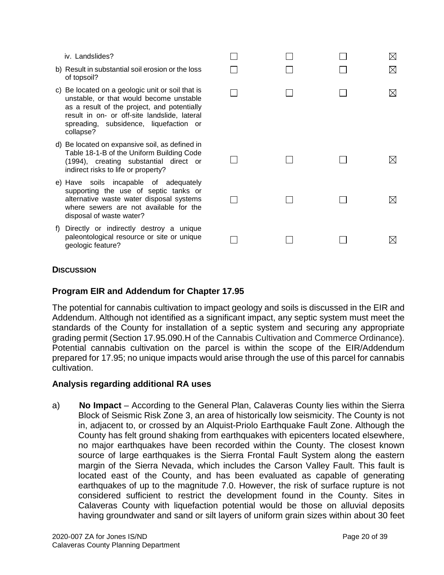iv. Landslides?

- b) Result in substantial soil erosion or the loss of topsoil?
- c) Be located on a geologic unit or soil that is unstable, or that would become unstable as a result of the project, and potentially result in on- or off-site landslide, lateral spreading, subsidence, liquefaction or collapse?
- d) Be located on expansive soil, as defined in Table 18-1-B of the Uniform Building Code (1994), creating substantial direct or indirect risks to life or property?
- e) Have soils incapable of adequately supporting the use of septic tanks or alternative waste water disposal systems where sewers are not available for the disposal of waste water?
- f) Directly or indirectly destroy a unique paleontological resource or site or unique geologic feature?

| $\Box$<br>$\Box$ | $\Box$<br>$\Box$ | $\Box$<br>$\Box$ | $\boxtimes$<br>$\boxtimes$ |
|------------------|------------------|------------------|----------------------------|
| П                | $\Box$           | $\Box$           | $\boxtimes$                |
| $\Box$           | $\Box$           | $\Box$           | $\boxtimes$                |
| $\Box$           | $\Box$           | $\Box$           | $\boxtimes$                |
| 凵                | 니                | 니                | $\boxtimes$                |

#### **DISCUSSION**

### **Program EIR and Addendum for Chapter 17.95**

The potential for cannabis cultivation to impact geology and soils is discussed in the EIR and Addendum. Although not identified as a significant impact, any septic system must meet the standards of the County for installation of a septic system and securing any appropriate grading permit (Section 17.95.090.H of the Cannabis Cultivation and Commerce Ordinance). Potential cannabis cultivation on the parcel is within the scope of the EIR/Addendum prepared for 17.95; no unique impacts would arise through the use of this parcel for cannabis cultivation.

#### **Analysis regarding additional RA uses**

a) **No Impact** – According to the General Plan, Calaveras County lies within the Sierra Block of Seismic Risk Zone 3, an area of historically low seismicity. The County is not in, adjacent to, or crossed by an Alquist-Priolo Earthquake Fault Zone. Although the County has felt ground shaking from earthquakes with epicenters located elsewhere, no major earthquakes have been recorded within the County. The closest known source of large earthquakes is the Sierra Frontal Fault System along the eastern margin of the Sierra Nevada, which includes the Carson Valley Fault. This fault is located east of the County, and has been evaluated as capable of generating earthquakes of up to the magnitude 7.0. However, the risk of surface rupture is not considered sufficient to restrict the development found in the County. Sites in Calaveras County with liquefaction potential would be those on alluvial deposits having groundwater and sand or silt layers of uniform grain sizes within about 30 feet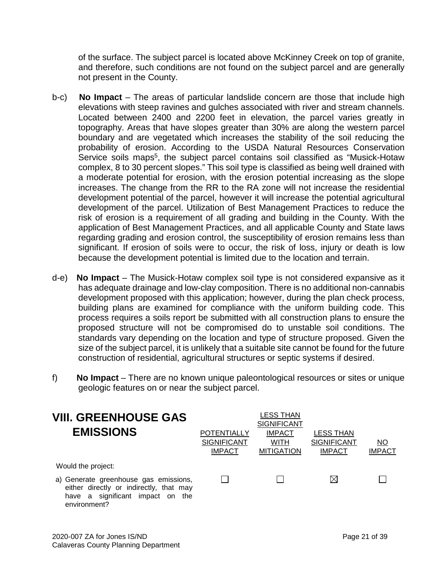of the surface. The subject parcel is located above McKinney Creek on top of granite, and therefore, such conditions are not found on the subject parcel and are generally not present in the County.

- b-c) **No Impact** The areas of particular landslide concern are those that include high elevations with steep ravines and gulches associated with river and stream channels. Located between 2400 and 2200 feet in elevation, the parcel varies greatly in topography. Areas that have slopes greater than 30% are along the western parcel boundary and are vegetated which increases the stability of the soil reducing the probability of erosion. According to the USDA Natural Resources Conservation Service soils maps<sup>5</sup>, the subject parcel contains soil classified as "Musick-Hotaw complex, 8 to 30 percent slopes." This soil type is classified as being well drained with a moderate potential for erosion, with the erosion potential increasing as the slope increases. The change from the RR to the RA zone will not increase the residential development potential of the parcel, however it will increase the potential agricultural development of the parcel. Utilization of Best Management Practices to reduce the risk of erosion is a requirement of all grading and building in the County. With the application of Best Management Practices, and all applicable County and State laws regarding grading and erosion control, the susceptibility of erosion remains less than significant. If erosion of soils were to occur, the risk of loss, injury or death is low because the development potential is limited due to the location and terrain.
- d-e) **No Impact** The Musick-Hotaw complex soil type is not considered expansive as it has adequate drainage and low-clay composition. There is no additional non-cannabis development proposed with this application; however, during the plan check process, building plans are examined for compliance with the uniform building code. This process requires a soils report be submitted with all construction plans to ensure the proposed structure will not be compromised do to unstable soil conditions. The standards vary depending on the location and type of structure proposed. Given the size of the subject parcel, it is unlikely that a suitable site cannot be found for the future construction of residential, agricultural structures or septic systems if desired.
- f) **No Impact** There are no known unique paleontological resources or sites or unique geologic features on or near the subject parcel.

| <b>VIII. GREENHOUSE GAS</b><br><b>EMISSIONS</b>                                                                                         | <b>POTENTIALLY</b><br><b>SIGNIFICANT</b><br><b>IMPACT</b> | LESS THAN<br><b>SIGNIFICANT</b><br><b>IMPACT</b><br><b>WITH</b><br><b>MITIGATION</b> | <b>LESS THAN</b><br><b>SIGNIFICANT</b><br><b>IMPACT</b> | ΝO<br><b>IMPACT</b> |
|-----------------------------------------------------------------------------------------------------------------------------------------|-----------------------------------------------------------|--------------------------------------------------------------------------------------|---------------------------------------------------------|---------------------|
| Would the project:                                                                                                                      |                                                           |                                                                                      |                                                         |                     |
| a) Generate greenhouse gas emissions,<br>either directly or indirectly, that may<br>have a significant impact on<br>the<br>environment? |                                                           |                                                                                      | ⊠                                                       |                     |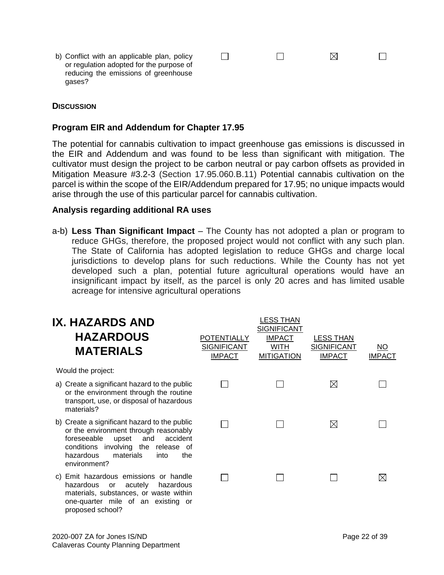b) Conflict with an applicable plan, policy or regulation adopted for the purpose of reducing the emissions of greenhouse gases?

#### **DISCUSSION**

#### **Program EIR and Addendum for Chapter 17.95**

The potential for cannabis cultivation to impact greenhouse gas emissions is discussed in the EIR and Addendum and was found to be less than significant with mitigation. The cultivator must design the project to be carbon neutral or pay carbon offsets as provided in Mitigation Measure #3.2-3 (Section 17.95.060.B.11) Potential cannabis cultivation on the parcel is within the scope of the EIR/Addendum prepared for 17.95; no unique impacts would arise through the use of this particular parcel for cannabis cultivation.

 $\Box$ 

 $\Box$ 

 $\Box$ 

 $\boxtimes$ 

#### **Analysis regarding additional RA uses**

a-b) **Less Than Significant Impact** – The County has not adopted a plan or program to reduce GHGs, therefore, the proposed project would not conflict with any such plan. The State of California has adopted legislation to reduce GHGs and charge local jurisdictions to develop plans for such reductions. While the County has not yet developed such a plan, potential future agricultural operations would have an insignificant impact by itself, as the parcel is only 20 acres and has limited usable acreage for intensive agricultural operations

| IX. HAZARDS AND<br><b>HAZARDOUS</b><br><b>MATERIALS</b>                                                                                                                                                                          | <b>POTENTIALLY</b><br><b>SIGNIFICANT</b><br><b>IMPACT</b> | <b>LESS THAN</b><br><b>SIGNIFICANT</b><br><b>IMPACT</b><br><b>WITH</b><br><b>MITIGATION</b> | <b>LESS THAN</b><br><b>SIGNIFICANT</b><br><b>IMPACT</b> | NO<br><b>IMPACT</b> |
|----------------------------------------------------------------------------------------------------------------------------------------------------------------------------------------------------------------------------------|-----------------------------------------------------------|---------------------------------------------------------------------------------------------|---------------------------------------------------------|---------------------|
| Would the project:                                                                                                                                                                                                               |                                                           |                                                                                             |                                                         |                     |
| a) Create a significant hazard to the public<br>or the environment through the routine<br>transport, use, or disposal of hazardous<br>materials?                                                                                 |                                                           |                                                                                             | $\boxtimes$                                             |                     |
| b) Create a significant hazard to the public<br>or the environment through reasonably<br>accident<br>foreseeable<br>and<br>upset<br>conditions involving the release of<br>hazardous<br>materials<br>into<br>the<br>environment? |                                                           |                                                                                             | ⊠                                                       |                     |
| Emit hazardous emissions or handle<br>C)<br>hazardous<br>acutely<br>hazardous<br>or<br>materials, substances, or waste within<br>one-quarter mile of an existing or<br>proposed school?                                          |                                                           |                                                                                             |                                                         | ⊠                   |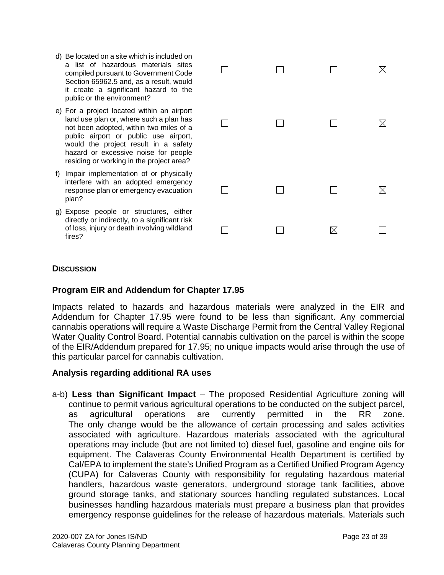- d) Be located on a site which is included on a list of hazardous materials sites compiled pursuant to Government Code Section 65962.5 and, as a result, would it create a significant hazard to the public or the environment?
- e) For a project located within an airport land use plan or, where such a plan has not been adopted, within two miles of a public airport or public use airport, would the project result in a safety hazard or excessive noise for people residing or working in the project area?
- f) Impair implementation of or physically interfere with an adopted emergency response plan or emergency evacuation plan?
- g) Expose people or structures, either directly or indirectly, to a significant risk of loss, injury or death involving wildland fires?

| ΙI     | $\Box$ | ロ      | $\boxtimes$ |
|--------|--------|--------|-------------|
| $\Box$ | $\Box$ | $\Box$ | $\boxtimes$ |
| $\Box$ | $\Box$ | $\Box$ | $\boxtimes$ |
|        |        |        |             |

#### **DISCUSSION**

#### **Program EIR and Addendum for Chapter 17.95**

Impacts related to hazards and hazardous materials were analyzed in the EIR and Addendum for Chapter 17.95 were found to be less than significant. Any commercial cannabis operations will require a Waste Discharge Permit from the Central Valley Regional Water Quality Control Board. Potential cannabis cultivation on the parcel is within the scope of the EIR/Addendum prepared for 17.95; no unique impacts would arise through the use of this particular parcel for cannabis cultivation.

#### **Analysis regarding additional RA uses**

a-b) **Less than Significant Impact** – The proposed Residential Agriculture zoning will continue to permit various agricultural operations to be conducted on the subject parcel, as agricultural operations are currently permitted in the RR zone. The only change would be the allowance of certain processing and sales activities associated with agriculture. Hazardous materials associated with the agricultural operations may include (but are not limited to) diesel fuel, gasoline and engine oils for equipment. The Calaveras County Environmental Health Department is certified by Cal/EPA to implement the state's Unified Program as a Certified Unified Program Agency (CUPA) for Calaveras County with responsibility for regulating hazardous material handlers, hazardous waste generators, underground storage tank facilities, above ground storage tanks, and stationary sources handling regulated substances. Local businesses handling hazardous materials must prepare a business plan that provides emergency response guidelines for the release of hazardous materials. Materials such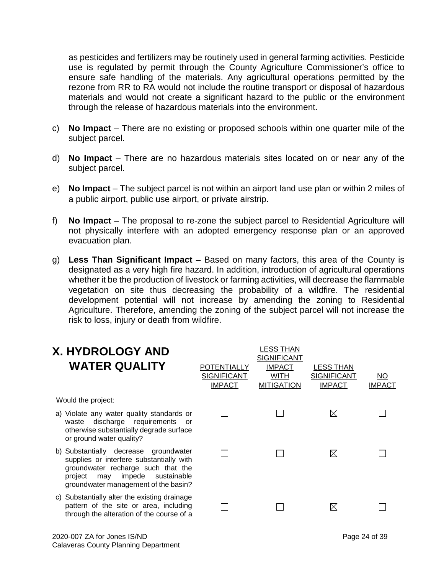as pesticides and fertilizers may be routinely used in general farming activities. Pesticide use is regulated by permit through the County Agriculture Commissioner's office to ensure safe handling of the materials. Any agricultural operations permitted by the rezone from RR to RA would not include the routine transport or disposal of hazardous materials and would not create a significant hazard to the public or the environment through the release of hazardous materials into the environment.

- c) **No Impact** There are no existing or proposed schools within one quarter mile of the subject parcel.
- d) **No Impact** There are no hazardous materials sites located on or near any of the subject parcel.
- e) **No Impact** The subject parcel is not within an airport land use plan or within 2 miles of a public airport, public use airport, or private airstrip.
- f) **No Impact** The proposal to re-zone the subject parcel to Residential Agriculture will not physically interfere with an adopted emergency response plan or an approved evacuation plan.
- g) **Less Than Significant Impact** Based on many factors, this area of the County is designated as a very high fire hazard. In addition, introduction of agricultural operations whether it be the production of livestock or farming activities, will decrease the flammable vegetation on site thus decreasing the probability of a wildfire. The residential development potential will not increase by amending the zoning to Residential Agriculture. Therefore, amending the zoning of the subject parcel will not increase the risk to loss, injury or death from wildfire.

| <b>X. HYDROLOGY AND</b><br><b>WATER QUALITY</b>                                                                                                                                                            | <b>POTENTIALLY</b><br><b>SIGNIFICANT</b><br><b>IMPACT</b> | LESS THAN<br><b>SIGNIFICANT</b><br><b>IMPACT</b><br>WITH<br><b>MITIGATION</b> | <b>LESS THAN</b><br><b>SIGNIFICANT</b><br><b>IMPACT</b> | NO.<br><b>IMPACT</b> |
|------------------------------------------------------------------------------------------------------------------------------------------------------------------------------------------------------------|-----------------------------------------------------------|-------------------------------------------------------------------------------|---------------------------------------------------------|----------------------|
| Would the project:                                                                                                                                                                                         |                                                           |                                                                               |                                                         |                      |
| a) Violate any water quality standards or<br>discharge requirements<br>waste<br>or<br>otherwise substantially degrade surface<br>or ground water quality?                                                  |                                                           |                                                                               | $\bowtie$                                               |                      |
| b) Substantially decrease groundwater<br>supplies or interfere substantially with<br>groundwater recharge such that the<br>impede<br>sustainable<br>project<br>may<br>groundwater management of the basin? |                                                           |                                                                               | $\boxtimes$                                             |                      |
| c) Substantially alter the existing drainage<br>pattern of the site or area, including<br>through the alteration of the course of a                                                                        |                                                           |                                                                               | $\boxtimes$                                             |                      |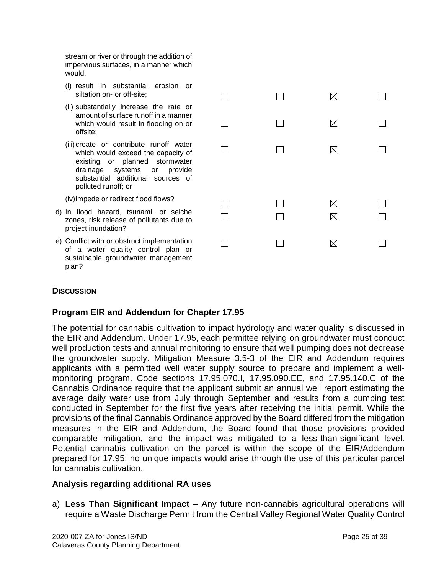stream or river or through the addition of impervious surfaces, in a manner which would:

- (i) result in substantial erosion or siltation on- or off-site;
- (ii) substantially increase the rate or amount of surface runoff in a manner which would result in flooding on or offsite;
- (iii) create or contribute runoff water which would exceed the capacity of existing or planned stormwater drainage systems or provide substantial additional sources of polluted runoff; or

(iv)impede or redirect flood flows?

- d) In flood hazard, tsunami, or seiche zones, risk release of pollutants due to project inundation?
- e) Conflict with or obstruct implementation of a water quality control plan or sustainable groundwater management plan?

 $\Box$  $\Box$  $\boxtimes$  $\Box$  $\Box$  $\Box$ X.  $\Box$  $\Box$  $\Box$ ⊠  $\Box$  $\Box$  $\Box$ ⊠  $\Box$  $\Box$  $\Box$  $\boxtimes$ П  $\Box$  $\Box$ ⊠  $\Box$ 

#### **DISCUSSION**

#### **Program EIR and Addendum for Chapter 17.95**

The potential for cannabis cultivation to impact hydrology and water quality is discussed in the EIR and Addendum. Under 17.95, each permittee relying on groundwater must conduct well production tests and annual monitoring to ensure that well pumping does not decrease the groundwater supply. Mitigation Measure 3.5-3 of the EIR and Addendum requires applicants with a permitted well water supply source to prepare and implement a wellmonitoring program. Code sections 17.95.070.I, 17.95.090.EE, and 17.95.140.C of the Cannabis Ordinance require that the applicant submit an annual well report estimating the average daily water use from July through September and results from a pumping test conducted in September for the first five years after receiving the initial permit. While the provisions of the final Cannabis Ordinance approved by the Board differed from the mitigation measures in the EIR and Addendum, the Board found that those provisions provided comparable mitigation, and the impact was mitigated to a less-than-significant level. Potential cannabis cultivation on the parcel is within the scope of the EIR/Addendum prepared for 17.95; no unique impacts would arise through the use of this particular parcel for cannabis cultivation.

#### **Analysis regarding additional RA uses**

a) **Less Than Significant Impact** – Any future non-cannabis agricultural operations will require a Waste Discharge Permit from the Central Valley Regional Water Quality Control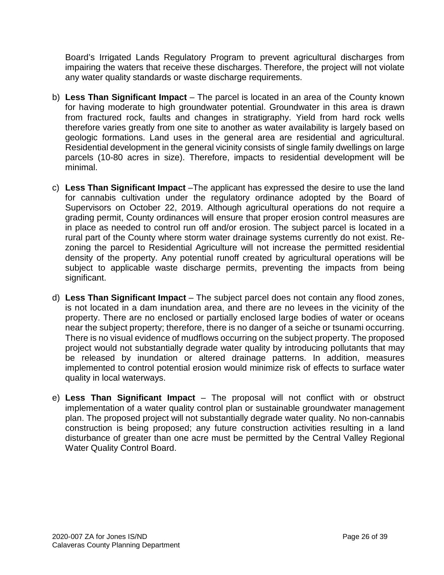Board's Irrigated Lands Regulatory Program to prevent agricultural discharges from impairing the waters that receive these discharges. Therefore, the project will not violate any water quality standards or waste discharge requirements.

- b) **Less Than Significant Impact**  The parcel is located in an area of the County known for having moderate to high groundwater potential. Groundwater in this area is drawn from fractured rock, faults and changes in stratigraphy. Yield from hard rock wells therefore varies greatly from one site to another as water availability is largely based on geologic formations. Land uses in the general area are residential and agricultural. Residential development in the general vicinity consists of single family dwellings on large parcels (10-80 acres in size). Therefore, impacts to residential development will be minimal.
- c) **Less Than Significant Impact** –The applicant has expressed the desire to use the land for cannabis cultivation under the regulatory ordinance adopted by the Board of Supervisors on October 22, 2019. Although agricultural operations do not require a grading permit, County ordinances will ensure that proper erosion control measures are in place as needed to control run off and/or erosion. The subject parcel is located in a rural part of the County where storm water drainage systems currently do not exist. Rezoning the parcel to Residential Agriculture will not increase the permitted residential density of the property. Any potential runoff created by agricultural operations will be subject to applicable waste discharge permits, preventing the impacts from being significant.
- d) **Less Than Significant Impact** The subject parcel does not contain any flood zones, is not located in a dam inundation area, and there are no levees in the vicinity of the property. There are no enclosed or partially enclosed large bodies of water or oceans near the subject property; therefore, there is no danger of a seiche or tsunami occurring. There is no visual evidence of mudflows occurring on the subject property. The proposed project would not substantially degrade water quality by introducing pollutants that may be released by inundation or altered drainage patterns. In addition, measures implemented to control potential erosion would minimize risk of effects to surface water quality in local waterways.
- e) **Less Than Significant Impact** The proposal will not conflict with or obstruct implementation of a water quality control plan or sustainable groundwater management plan. The proposed project will not substantially degrade water quality. No non-cannabis construction is being proposed; any future construction activities resulting in a land disturbance of greater than one acre must be permitted by the Central Valley Regional Water Quality Control Board.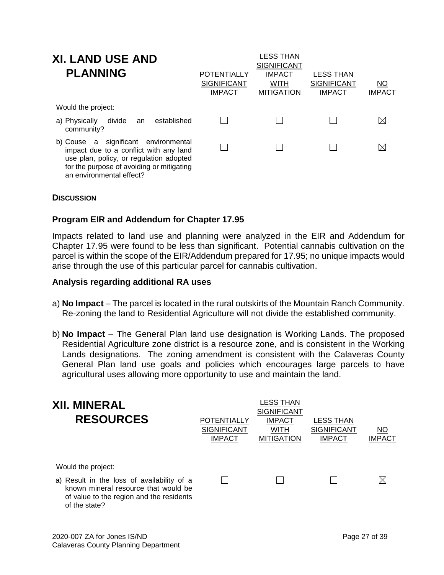| <b>XI. LAND USE AND</b><br><b>PLANNING</b>                                                                                                                                                         | POTENTIALLY<br><b>SIGNIFICANT</b><br><b>IMPACT</b> | LESS THAN<br><b>SIGNIFICANT</b><br><b>IMPACT</b><br><b>WITH</b><br><b>MITIGATION</b> | <b>LESS THAN</b><br><b>SIGNIFICANT</b><br><b>IMPACT</b> | NO<br><b>IMPACT</b> |
|----------------------------------------------------------------------------------------------------------------------------------------------------------------------------------------------------|----------------------------------------------------|--------------------------------------------------------------------------------------|---------------------------------------------------------|---------------------|
| Would the project:                                                                                                                                                                                 |                                                    |                                                                                      |                                                         |                     |
| divide<br>established<br>a) Physically<br>an<br>community?                                                                                                                                         |                                                    |                                                                                      |                                                         | $\boxtimes$         |
| b) Couse a significant environmental<br>impact due to a conflict with any land<br>use plan, policy, or regulation adopted<br>for the purpose of avoiding or mitigating<br>an environmental effect? |                                                    |                                                                                      |                                                         | X                   |

#### **DISCUSSION**

#### **Program EIR and Addendum for Chapter 17.95**

Impacts related to land use and planning were analyzed in the EIR and Addendum for Chapter 17.95 were found to be less than significant. Potential cannabis cultivation on the parcel is within the scope of the EIR/Addendum prepared for 17.95; no unique impacts would arise through the use of this particular parcel for cannabis cultivation.

#### **Analysis regarding additional RA uses**

- a) **No Impact** The parcel is located in the rural outskirts of the Mountain Ranch Community. Re-zoning the land to Residential Agriculture will not divide the established community.
- b) **No Impact** The General Plan land use designation is Working Lands. The proposed Residential Agriculture zone district is a resource zone, and is consistent in the Working Lands designations. The zoning amendment is consistent with the Calaveras County General Plan land use goals and policies which encourages large parcels to have agricultural uses allowing more opportunity to use and maintain the land.

| <b>XII. MINERAL</b><br><b>RESOURCES</b>                                                                                                                               | POTENTIALLY<br><b>SIGNIFICANT</b><br><b>IMPACT</b> | LESS THAN<br><b>SIGNIFICANT</b><br><b>IMPACT</b><br>WITH<br><b>MITIGATION</b> | <b>LESS THAN</b><br><b>SIGNIFICANT</b><br><b>IMPACT</b> | ΝO<br><b>IMPACT</b> |
|-----------------------------------------------------------------------------------------------------------------------------------------------------------------------|----------------------------------------------------|-------------------------------------------------------------------------------|---------------------------------------------------------|---------------------|
| Would the project:<br>a) Result in the loss of availability of a<br>known mineral resource that would be<br>of value to the region and the residents<br>of the state? |                                                    |                                                                               |                                                         |                     |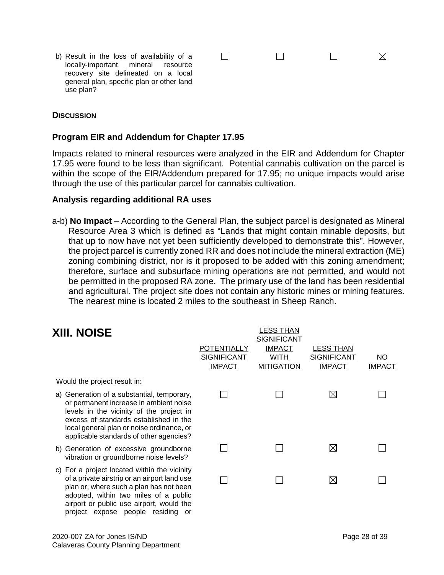b) Result in the loss of availability of a locally-important mineral resource recovery site delineated on a local general plan, specific plan or other land use plan?

#### **DISCUSSION**

#### **Program EIR and Addendum for Chapter 17.95**

Impacts related to mineral resources were analyzed in the EIR and Addendum for Chapter 17.95 were found to be less than significant. Potential cannabis cultivation on the parcel is within the scope of the EIR/Addendum prepared for 17.95; no unique impacts would arise through the use of this particular parcel for cannabis cultivation.

 $\Box$ 

 $\Box$ 

 $\boxtimes$ 

 $\Box$ 

#### **Analysis regarding additional RA uses**

a-b) **No Impact** – According to the General Plan, the subject parcel is designated as Mineral Resource Area 3 which is defined as "Lands that might contain minable deposits, but that up to now have not yet been sufficiently developed to demonstrate this". However, the project parcel is currently zoned RR and does not include the mineral extraction (ME) zoning combining district, nor is it proposed to be added with this zoning amendment; therefore, surface and subsurface mining operations are not permitted, and would not be permitted in the proposed RA zone. The primary use of the land has been residential and agricultural. The project site does not contain any historic mines or mining features. The nearest mine is located 2 miles to the southeast in Sheep Ranch.

| <b>XIII. NOISE</b>                                                                                                                                                                                                                                                 | <b>POTENTIALLY</b><br><b>SIGNIFICANT</b><br><b>IMPACT</b> | LESS THAN<br><b>SIGNIFICANT</b><br><b>IMPACT</b><br><b>WITH</b><br><b>MITIGATION</b> | <b>LESS THAN</b><br><b>SIGNIFICANT</b><br><b>IMPACT</b> | <u>NO</u><br><b>IMPACT</b> |
|--------------------------------------------------------------------------------------------------------------------------------------------------------------------------------------------------------------------------------------------------------------------|-----------------------------------------------------------|--------------------------------------------------------------------------------------|---------------------------------------------------------|----------------------------|
| Would the project result in:                                                                                                                                                                                                                                       |                                                           |                                                                                      |                                                         |                            |
| a) Generation of a substantial, temporary,<br>or permanent increase in ambient noise<br>levels in the vicinity of the project in<br>excess of standards established in the<br>local general plan or noise ordinance, or<br>applicable standards of other agencies? |                                                           |                                                                                      | $\bowtie$                                               |                            |
| b) Generation of excessive groundborne<br>vibration or groundborne noise levels?                                                                                                                                                                                   |                                                           |                                                                                      | $\boxtimes$                                             |                            |
| c) For a project located within the vicinity<br>of a private airstrip or an airport land use<br>plan or, where such a plan has not been<br>adopted, within two miles of a public<br>airport or public use airport, would the<br>project expose people residing or  |                                                           |                                                                                      | $\boxtimes$                                             |                            |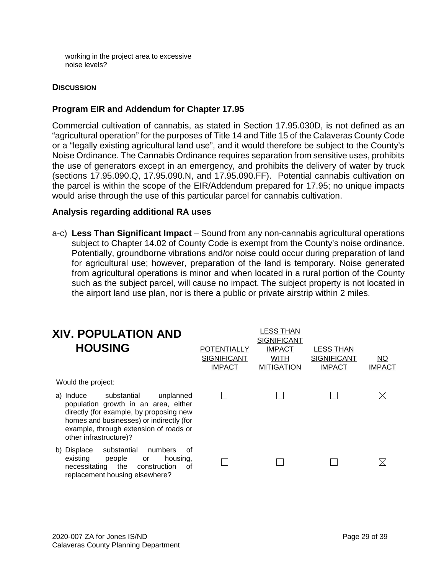working in the project area to excessive noise levels?

#### **DISCUSSION**

#### **Program EIR and Addendum for Chapter 17.95**

Commercial cultivation of cannabis, as stated in Section 17.95.030D, is not defined as an "agricultural operation" for the purposes of Title 14 and Title 15 of the Calaveras County Code or a "legally existing agricultural land use", and it would therefore be subject to the County's Noise Ordinance. The Cannabis Ordinance requires separation from sensitive uses, prohibits the use of generators except in an emergency, and prohibits the delivery of water by truck (sections 17.95.090.Q, 17.95.090.N, and 17.95.090.FF). Potential cannabis cultivation on the parcel is within the scope of the EIR/Addendum prepared for 17.95; no unique impacts would arise through the use of this particular parcel for cannabis cultivation.

#### **Analysis regarding additional RA uses**

a-c) **Less Than Significant Impact** – Sound from any non-cannabis agricultural operations subject to Chapter 14.02 of County Code is exempt from the County's noise ordinance. Potentially, groundborne vibrations and/or noise could occur during preparation of land for agricultural use; however, preparation of the land is temporary. Noise generated from agricultural operations is minor and when located in a rural portion of the County such as the subject parcel, will cause no impact. The subject property is not located in the airport land use plan, nor is there a public or private airstrip within 2 miles.

| <b>XIV. POPULATION AND</b><br><b>HOUSING</b>                                                                                                                                                                                          | <b>POTENTIALLY</b><br><b>SIGNIFICANT</b><br><b>IMPACT</b> | <b>LESS THAN</b><br><b>SIGNIFICANT</b><br><b>IMPACT</b><br><b>WITH</b><br><b>MITIGATION</b> | <b>LESS THAN</b><br><b>SIGNIFICANT</b><br><b>IMPACT</b> | NO<br><b>IMPACT</b> |
|---------------------------------------------------------------------------------------------------------------------------------------------------------------------------------------------------------------------------------------|-----------------------------------------------------------|---------------------------------------------------------------------------------------------|---------------------------------------------------------|---------------------|
| Would the project:                                                                                                                                                                                                                    |                                                           |                                                                                             |                                                         |                     |
| a) Induce substantial<br>unplanned<br>population growth in an area, either<br>directly (for example, by proposing new<br>homes and businesses) or indirectly (for<br>example, through extension of roads or<br>other infrastructure)? |                                                           |                                                                                             |                                                         | $\boxtimes$         |
| substantial<br>numbers<br>b) Displace<br>Ωf<br>existing<br>people<br>housing.<br>or<br>necessitating the<br>construction<br>οf<br>replacement housing elsewhere?                                                                      |                                                           |                                                                                             |                                                         | $\boxtimes$         |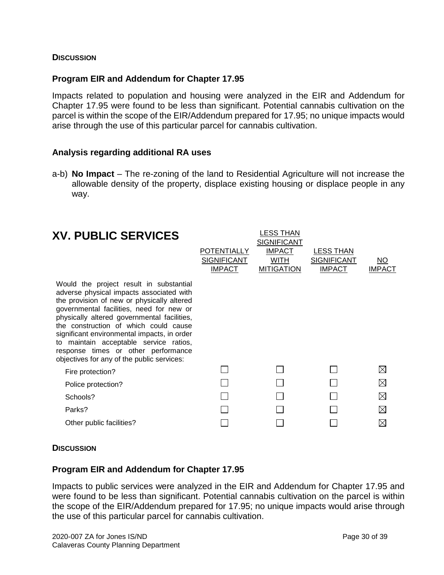#### **DISCUSSION**

#### **Program EIR and Addendum for Chapter 17.95**

Impacts related to population and housing were analyzed in the EIR and Addendum for Chapter 17.95 were found to be less than significant. Potential cannabis cultivation on the parcel is within the scope of the EIR/Addendum prepared for 17.95; no unique impacts would arise through the use of this particular parcel for cannabis cultivation.

#### **Analysis regarding additional RA uses**

a-b) **No Impact** – The re-zoning of the land to Residential Agriculture will not increase the allowable density of the property, displace existing housing or displace people in any way.

| <b>POTENTIALLY</b><br><b>SIGNIFICANT</b><br><b>IMPACT</b> | LESS THAN<br><b>SIGNIFICANT</b><br><b>IMPACT</b><br>WITH<br><b>MITIGATION</b> | <b>LESS THAN</b><br><b>SIGNIFICANT</b><br><b>IMPACT</b> | NO<br><b>IMPACT</b> |
|-----------------------------------------------------------|-------------------------------------------------------------------------------|---------------------------------------------------------|---------------------|
|                                                           |                                                                               |                                                         |                     |
|                                                           |                                                                               |                                                         | $\boxtimes$         |
|                                                           |                                                                               |                                                         | $\boxtimes$         |
|                                                           |                                                                               |                                                         | ⊠                   |
|                                                           |                                                                               |                                                         | M                   |
|                                                           |                                                                               |                                                         | $\bowtie$           |
|                                                           |                                                                               |                                                         |                     |

#### **DISCUSSION**

#### **Program EIR and Addendum for Chapter 17.95**

Impacts to public services were analyzed in the EIR and Addendum for Chapter 17.95 and were found to be less than significant. Potential cannabis cultivation on the parcel is within the scope of the EIR/Addendum prepared for 17.95; no unique impacts would arise through the use of this particular parcel for cannabis cultivation.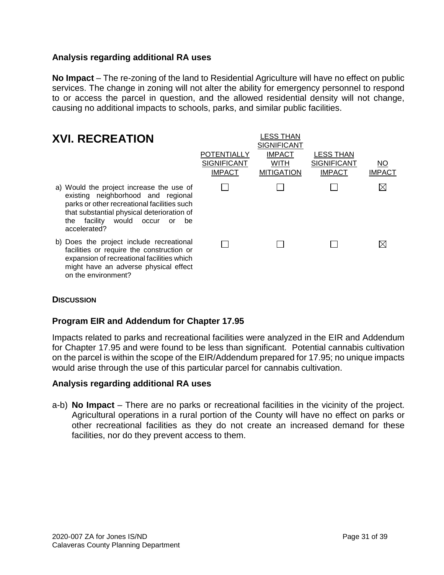#### **Analysis regarding additional RA uses**

**No Impact** – The re-zoning of the land to Residential Agriculture will have no effect on public services. The change in zoning will not alter the ability for emergency personnel to respond to or access the parcel in question, and the allowed residential density will not change, causing no additional impacts to schools, parks, and similar public facilities.

| <b>XVI. RECREATION</b>                                                                                                                                                                                                                                      | <b>POTENTIALLY</b><br><b>SIGNIFICANT</b><br><b>IMPACT</b> | LESS THAN<br><b>SIGNIFICANT</b><br><b>IMPACT</b><br><b>WITH</b><br><b>MITIGATION</b> | <b>LESS THAN</b><br><b>SIGNIFICANT</b><br><b>IMPACT</b> | <u>NO</u><br><b>IMPACT</b> |
|-------------------------------------------------------------------------------------------------------------------------------------------------------------------------------------------------------------------------------------------------------------|-----------------------------------------------------------|--------------------------------------------------------------------------------------|---------------------------------------------------------|----------------------------|
| a) Would the project increase the use of<br>existing neighborhood and regional<br>parks or other recreational facilities such<br>that substantial physical deterioration of<br>would occur<br>facility<br>the<br><b>or</b><br><sub>be</sub><br>accelerated? |                                                           |                                                                                      |                                                         | M                          |
| b) Does the project include recreational<br>facilities or require the construction or<br>expansion of recreational facilities which<br>might have an adverse physical effect<br>on the environment?                                                         |                                                           |                                                                                      |                                                         |                            |

#### **DISCUSSION**

#### **Program EIR and Addendum for Chapter 17.95**

Impacts related to parks and recreational facilities were analyzed in the EIR and Addendum for Chapter 17.95 and were found to be less than significant. Potential cannabis cultivation on the parcel is within the scope of the EIR/Addendum prepared for 17.95; no unique impacts would arise through the use of this particular parcel for cannabis cultivation.

#### **Analysis regarding additional RA uses**

a-b) **No Impact** – There are no parks or recreational facilities in the vicinity of the project. Agricultural operations in a rural portion of the County will have no effect on parks or other recreational facilities as they do not create an increased demand for these facilities, nor do they prevent access to them.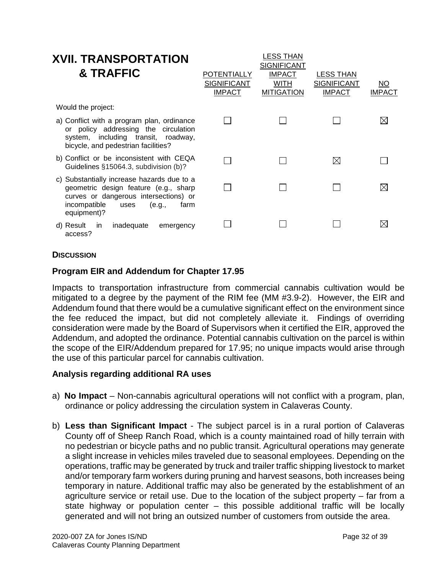| <b>XVII. TRANSPORTATION</b><br><b>&amp; TRAFFIC</b>                                                                                                                                   | POTENTIALLY<br><b>SIGNIFICANT</b><br><b>IMPACT</b> | LESS THAN<br><b>SIGNIFICANT</b><br><b>IMPACT</b><br>WITH<br><b>MITIGATION</b> | LESS THAN<br><b>SIGNIFICANT</b><br><b>IMPACT</b> | NO.<br><b>IMPACT</b> |
|---------------------------------------------------------------------------------------------------------------------------------------------------------------------------------------|----------------------------------------------------|-------------------------------------------------------------------------------|--------------------------------------------------|----------------------|
| Would the project:                                                                                                                                                                    |                                                    |                                                                               |                                                  |                      |
| a) Conflict with a program plan, ordinance<br>or policy addressing the circulation<br>system, including transit, roadway,<br>bicycle, and pedestrian facilities?                      |                                                    |                                                                               |                                                  | $\boxtimes$          |
| b) Conflict or be inconsistent with CEQA<br>Guidelines §15064.3, subdivision (b)?                                                                                                     |                                                    |                                                                               | $\bowtie$                                        |                      |
| c) Substantially increase hazards due to a<br>geometric design feature (e.g., sharp<br>curves or dangerous intersections) or<br>incompatible<br>uses<br>(e.g.,<br>farm<br>equipment)? |                                                    |                                                                               |                                                  | ⊠                    |
| d) Result<br>inadequate<br>in.<br>emergency<br>access?                                                                                                                                |                                                    |                                                                               |                                                  | X                    |

#### **DISCUSSION**

#### **Program EIR and Addendum for Chapter 17.95**

Impacts to transportation infrastructure from commercial cannabis cultivation would be mitigated to a degree by the payment of the RIM fee (MM #3.9-2). However, the EIR and Addendum found that there would be a cumulative significant effect on the environment since the fee reduced the impact, but did not completely alleviate it. Findings of overriding consideration were made by the Board of Supervisors when it certified the EIR, approved the Addendum, and adopted the ordinance. Potential cannabis cultivation on the parcel is within the scope of the EIR/Addendum prepared for 17.95; no unique impacts would arise through the use of this particular parcel for cannabis cultivation.

#### **Analysis regarding additional RA uses**

- a) **No Impact** Non-cannabis agricultural operations will not conflict with a program, plan, ordinance or policy addressing the circulation system in Calaveras County.
- b) **Less than Significant Impact**  The subject parcel is in a rural portion of Calaveras County off of Sheep Ranch Road, which is a county maintained road of hilly terrain with no pedestrian or bicycle paths and no public transit. Agricultural operations may generate a slight increase in vehicles miles traveled due to seasonal employees. Depending on the operations, traffic may be generated by truck and trailer traffic shipping livestock to market and/or temporary farm workers during pruning and harvest seasons, both increases being temporary in nature. Additional traffic may also be generated by the establishment of an agriculture service or retail use. Due to the location of the subject property – far from a state highway or population center – this possible additional traffic will be locally generated and will not bring an outsized number of customers from outside the area.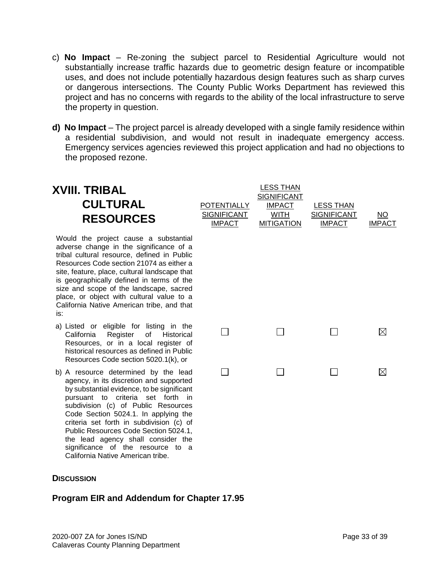- c) **No Impact** Re-zoning the subject parcel to Residential Agriculture would not substantially increase traffic hazards due to geometric design feature or incompatible uses, and does not include potentially hazardous design features such as sharp curves or dangerous intersections. The County Public Works Department has reviewed this project and has no concerns with regards to the ability of the local infrastructure to serve the property in question.
- **d) No Impact**  The project parcel is already developed with a single family residence within a residential subdivision, and would not result in inadequate emergency access. Emergency services agencies reviewed this project application and had no objections to the proposed rezone.

#### LESS THAN **XVIII. TRIBAL**  SIGNIFICANT **CULTURAL IMPACT POTENTIALLY** LESS THAN **SIGNIFICANT** WITH SIGNIFICANT NO **RESOURCES** IMPACT **MITIGATION** IMPACT IMPACT Would the project cause a substantial adverse change in the significance of a tribal cultural resource, defined in Public Resources Code section 21074 as either a site, feature, place, cultural landscape that is geographically defined in terms of the size and scope of the landscape, sacred place, or object with cultural value to a California Native American tribe, and that is: a) Listed or eligible for listing in the  $\Box$  $\Box$  $\Box$ ⊠ California Register of Historical Resources, or in a local register of historical resources as defined in Public Resources Code section 5020.1(k), or  $\Box$  $\Box$  $\Box$  $\boxtimes$ b) A resource determined by the lead agency, in its discretion and supported by substantial evidence, to be significant pursuant to criteria set forth in subdivision (c) of Public Resources Code Section 5024.1. In applying the criteria set forth in subdivision (c) of Public Resources Code Section 5024.1, the lead agency shall consider the significance of the resource to a California Native American tribe.

#### **DISCUSSION**

#### **Program EIR and Addendum for Chapter 17.95**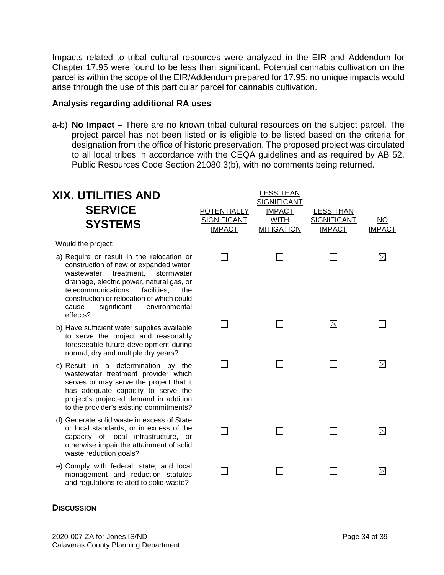Impacts related to tribal cultural resources were analyzed in the EIR and Addendum for Chapter 17.95 were found to be less than significant. Potential cannabis cultivation on the parcel is within the scope of the EIR/Addendum prepared for 17.95; no unique impacts would arise through the use of this particular parcel for cannabis cultivation.

#### **Analysis regarding additional RA uses**

a-b) **No Impact** – There are no known tribal cultural resources on the subject parcel. The project parcel has not been listed or is eligible to be listed based on the criteria for designation from the office of historic preservation. The proposed project was circulated to all local tribes in accordance with the CEQA guidelines and as required by AB 52, Public Resources Code Section 21080.3(b), with no comments being returned.

| XIX. UTILITIES AND<br><b>SERVICE</b><br><b>SYSTEMS</b>                                                                                                                                                                                                                                                                   | <b>POTENTIALLY</b><br><b>SIGNIFICANT</b><br><b>IMPACT</b> | <b>LESS THAN</b><br><b>SIGNIFICANT</b><br><b>IMPACT</b><br><b>WITH</b><br><b>MITIGATION</b> | <b>LESS THAN</b><br><b>SIGNIFICANT</b><br><b>IMPACT</b> | $\overline{NO}$<br><b>IMPACT</b> |
|--------------------------------------------------------------------------------------------------------------------------------------------------------------------------------------------------------------------------------------------------------------------------------------------------------------------------|-----------------------------------------------------------|---------------------------------------------------------------------------------------------|---------------------------------------------------------|----------------------------------|
| Would the project:                                                                                                                                                                                                                                                                                                       |                                                           |                                                                                             |                                                         |                                  |
| a) Require or result in the relocation or<br>construction of new or expanded water,<br>treatment.<br>wastewater<br>stormwater<br>drainage, electric power, natural gas, or<br>telecommunications<br>facilities.<br>the<br>construction or relocation of which could<br>significant<br>environmental<br>cause<br>effects? |                                                           |                                                                                             |                                                         | $\boxtimes$                      |
| b) Have sufficient water supplies available<br>to serve the project and reasonably<br>foreseeable future development during<br>normal, dry and multiple dry years?                                                                                                                                                       |                                                           |                                                                                             | ⊠                                                       |                                  |
| c) Result in a determination by the<br>wastewater treatment provider which<br>serves or may serve the project that it<br>has adequate capacity to serve the<br>project's projected demand in addition<br>to the provider's existing commitments?                                                                         |                                                           |                                                                                             |                                                         | $\boxtimes$                      |
| d) Generate solid waste in excess of State<br>or local standards, or in excess of the<br>capacity of local infrastructure, or<br>otherwise impair the attainment of solid<br>waste reduction goals?                                                                                                                      |                                                           |                                                                                             |                                                         | $\boxtimes$                      |
| e) Comply with federal, state, and local<br>management and reduction statutes                                                                                                                                                                                                                                            |                                                           |                                                                                             |                                                         | $\boxtimes$                      |

#### **DISCUSSION**

and regulations related to solid waste?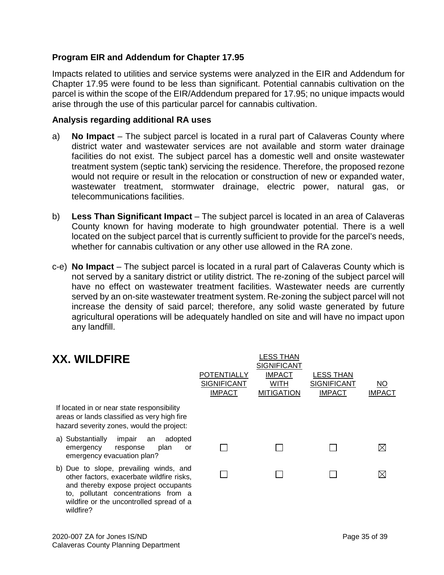#### **Program EIR and Addendum for Chapter 17.95**

Impacts related to utilities and service systems were analyzed in the EIR and Addendum for Chapter 17.95 were found to be less than significant. Potential cannabis cultivation on the parcel is within the scope of the EIR/Addendum prepared for 17.95; no unique impacts would arise through the use of this particular parcel for cannabis cultivation.

#### **Analysis regarding additional RA uses**

- a) **No Impact** The subject parcel is located in a rural part of Calaveras County where district water and wastewater services are not available and storm water drainage facilities do not exist. The subject parcel has a domestic well and onsite wastewater treatment system (septic tank) servicing the residence. Therefore, the proposed rezone would not require or result in the relocation or construction of new or expanded water, wastewater treatment, stormwater drainage, electric power, natural gas, or telecommunications facilities.
- b) **Less Than Significant Impact** The subject parcel is located in an area of Calaveras County known for having moderate to high groundwater potential. There is a well located on the subject parcel that is currently sufficient to provide for the parcel's needs, whether for cannabis cultivation or any other use allowed in the RA zone.
- c-e) **No Impact** The subject parcel is located in a rural part of Calaveras County which is not served by a sanitary district or utility district. The re-zoning of the subject parcel will have no effect on wastewater treatment facilities. Wastewater needs are currently served by an on-site wastewater treatment system. Re-zoning the subject parcel will not increase the density of said parcel; therefore, any solid waste generated by future agricultural operations will be adequately handled on site and will have no impact upon any landfill.

| <b>XX. WILDFIRE</b>                                                                                                                                                                                                         | <b>POTENTIALLY</b><br><b>SIGNIFICANT</b><br><b>IMPACT</b> | LESS THAN<br><b>SIGNIFICANT</b><br><b>IMPACT</b><br><b>WITH</b><br><b>MITIGATION</b> | LESS THAN<br><b>SIGNIFICANT</b><br><b>IMPACT</b> | ΝO<br><b>IMPACT</b> |
|-----------------------------------------------------------------------------------------------------------------------------------------------------------------------------------------------------------------------------|-----------------------------------------------------------|--------------------------------------------------------------------------------------|--------------------------------------------------|---------------------|
| If located in or near state responsibility<br>areas or lands classified as very high fire<br>hazard severity zones, would the project:                                                                                      |                                                           |                                                                                      |                                                  |                     |
| a) Substantially<br>adopted<br>impair<br>an<br>plan<br>emergency<br>response<br>or<br>emergency evacuation plan?                                                                                                            |                                                           |                                                                                      |                                                  |                     |
| b) Due to slope, prevailing winds, and<br>other factors, exacerbate wildfire risks,<br>and thereby expose project occupants<br>to, pollutant concentrations from a<br>wildfire or the uncontrolled spread of a<br>wildfire? |                                                           |                                                                                      |                                                  |                     |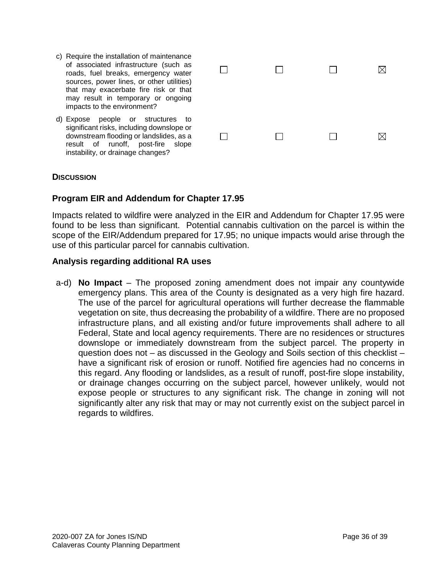c) Require the installation of maintenance of associated infrastructure (such as  $\Box$  $\Box$  $\boxtimes$  $\Box$ roads, fuel breaks, emergency water sources, power lines, or other utilities) that may exacerbate fire risk or that may result in temporary or ongoing impacts to the environment? d) Expose people or structures to significant risks, including downslope or downstream flooding or landslides, as a  $\Box$  $\Box$  $\Box$ ⊠ result of runoff, post-fire slope

#### **DISCUSSION**

#### **Program EIR and Addendum for Chapter 17.95**

Impacts related to wildfire were analyzed in the EIR and Addendum for Chapter 17.95 were found to be less than significant. Potential cannabis cultivation on the parcel is within the scope of the EIR/Addendum prepared for 17.95; no unique impacts would arise through the use of this particular parcel for cannabis cultivation.

#### **Analysis regarding additional RA uses**

instability, or drainage changes?

 a-d) **No Impact** – The proposed zoning amendment does not impair any countywide emergency plans. This area of the County is designated as a very high fire hazard. The use of the parcel for agricultural operations will further decrease the flammable vegetation on site, thus decreasing the probability of a wildfire. There are no proposed infrastructure plans, and all existing and/or future improvements shall adhere to all Federal, State and local agency requirements. There are no residences or structures downslope or immediately downstream from the subject parcel. The property in question does not – as discussed in the Geology and Soils section of this checklist – have a significant risk of erosion or runoff. Notified fire agencies had no concerns in this regard. Any flooding or landslides, as a result of runoff, post-fire slope instability, or drainage changes occurring on the subject parcel, however unlikely, would not expose people or structures to any significant risk. The change in zoning will not significantly alter any risk that may or may not currently exist on the subject parcel in regards to wildfires.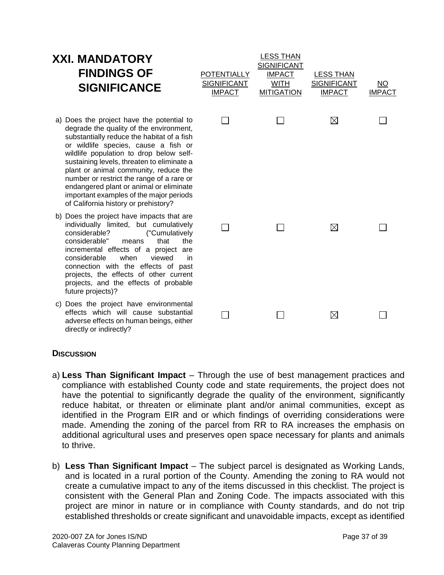## **XXI. MANDATORY FINDINGS OF SIGNIFICANCE**

- a) Does the project have the potential to degrade the quality of the environment, substantially reduce the habitat of a fish or wildlife species, cause a fish or wildlife population to drop below selfsustaining levels, threaten to eliminate a plant or animal community, reduce the number or restrict the range of a rare or endangered plant or animal or eliminate important examples of the major periods of California history or prehistory?
- b) Does the project have impacts that are individually limited, but cumulatively<br>considerable? ("Cumulatively considerable? considerable" means that the incremental effects of a project are considerable when viewed in connection with the effects of past projects, the effects of other current projects, and the effects of probable future projects)?
- c) Does the project have environmental effects which will cause substantial adverse effects on human beings, either directly or indirectly?

| <b>POTENTIALLY</b><br><b>SIGNIFICANT</b><br><b>IMPACT</b> | <b>LESS THAN</b><br><b>SIGNIFICANT</b><br><b>IMPACT</b><br><b>WITH</b><br><b>MITIGATION</b> | <b>LESS THAN</b><br><b>SIGNIFICANT</b><br><b>IMPACT</b> | $\underline{\mathsf{NO}}$<br><b>IMPACT</b> |
|-----------------------------------------------------------|---------------------------------------------------------------------------------------------|---------------------------------------------------------|--------------------------------------------|
|                                                           |                                                                                             | $\boxtimes$                                             |                                            |
|                                                           | $\blacksquare$                                                                              | $\boxtimes$                                             |                                            |
|                                                           |                                                                                             | ⊠                                                       |                                            |

#### **DISCUSSION**

- a) **Less Than Significant Impact** Through the use of best management practices and compliance with established County code and state requirements, the project does not have the potential to significantly degrade the quality of the environment, significantly reduce habitat, or threaten or eliminate plant and/or animal communities, except as identified in the Program EIR and or which findings of overriding considerations were made. Amending the zoning of the parcel from RR to RA increases the emphasis on additional agricultural uses and preserves open space necessary for plants and animals to thrive.
- b) **Less Than Significant Impact** The subject parcel is designated as Working Lands, and is located in a rural portion of the County. Amending the zoning to RA would not create a cumulative impact to any of the items discussed in this checklist. The project is consistent with the General Plan and Zoning Code. The impacts associated with this project are minor in nature or in compliance with County standards, and do not trip established thresholds or create significant and unavoidable impacts, except as identified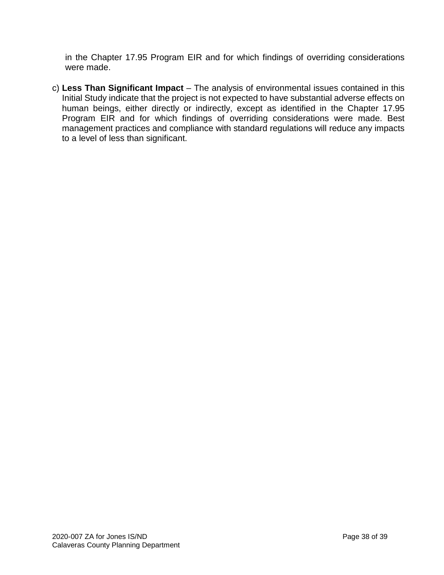in the Chapter 17.95 Program EIR and for which findings of overriding considerations were made.

c) **Less Than Significant Impact** – The analysis of environmental issues contained in this Initial Study indicate that the project is not expected to have substantial adverse effects on human beings, either directly or indirectly, except as identified in the Chapter 17.95 Program EIR and for which findings of overriding considerations were made. Best management practices and compliance with standard regulations will reduce any impacts to a level of less than significant.